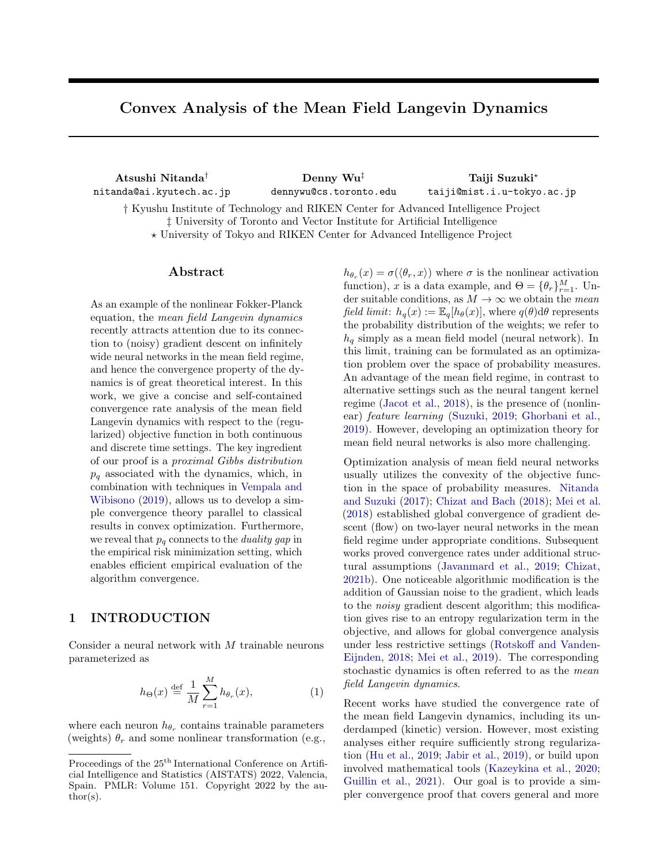# Convex Analysis of the Mean Field Langevin Dynamics

Atsushi Nitanda† nitanda@ai.kyutech.ac.jp

Denny Wu‡ dennywu@cs.toronto.edu

Taiji Suzuki? taiji@mist.i.u-tokyo.ac.jp

† Kyushu Institute of Technology and RIKEN Center for Advanced Intelligence Project ‡ University of Toronto and Vector Institute for Artificial Intelligence ? University of Tokyo and RIKEN Center for Advanced Intelligence Project

## ${\rm Abstract}$

As an example of the nonlinear Fokker-Planck equation, the mean field Langevin dynamics recently attracts attention due to its connection to (noisy) gradient descent on infinitely wide neural networks in the mean field regime, and hence the convergence property of the dynamics is of great theoretical interest. In this work, we give a concise and self-contained convergence rate analysis of the mean field Langevin dynamics with respect to the (regularized) objective function in both continuous and discrete time settings. The key ingredient of our proof is a proximal Gibbs distribution  $p_q$  associated with the dynamics, which, in combination with techniques in [Vempala and](#page-10-0) [Wibisono](#page-10-0) [\(2019\)](#page-10-0), allows us to develop a simple convergence theory parallel to classical results in convex optimization. Furthermore, we reveal that  $p_q$  connects to the *duality gap* in the empirical risk minimization setting, which enables efficient empirical evaluation of the algorithm convergence.

# 1 INTRODUCTION

Consider a neural network with  $M$  trainable neurons parameterized as

<span id="page-0-0"></span>
$$
h_{\Theta}(x) \stackrel{\text{def}}{=} \frac{1}{M} \sum_{r=1}^{M} h_{\theta_r}(x), \tag{1}
$$

where each neuron  $h_{\theta_r}$  contains trainable parameters (weights)  $\theta_r$  and some nonlinear transformation (e.g.,

 $h_{\theta_r}(x) = \sigma(\langle \theta_r, x \rangle)$  where  $\sigma$  is the nonlinear activation function), x is a data example, and  $\Theta = {\theta_r}_{r=1}^M$ . Under suitable conditions, as  $M \to \infty$  we obtain the mean field limit:  $h_q(x) := \mathbb{E}_q[h_\theta(x)]$ , where  $q(\theta) d\theta$  represents the probability distribution of the weights; we refer to  $h_q$  simply as a mean field model (neural network). In this limit, training can be formulated as an optimization problem over the space of probability measures. An advantage of the mean field regime, in contrast to alternative settings such as the neural tangent kernel regime [\(Jacot et al.,](#page-9-0) [2018\)](#page-9-0), is the presence of (nonlinear) feature learning [\(Suzuki,](#page-10-1) [2019;](#page-10-1) [Ghorbani et al.,](#page-9-1) [2019\)](#page-9-1). However, developing an optimization theory for mean field neural networks is also more challenging.

Optimization analysis of mean field neural networks usually utilizes the convexity of the objective function in the space of probability measures. [Nitanda](#page-9-2) [and Suzuki](#page-9-2) [\(2017\)](#page-9-2); [Chizat and Bach](#page-8-0) [\(2018\)](#page-8-0); [Mei et al.](#page-9-3) [\(2018\)](#page-9-3) established global convergence of gradient descent (flow) on two-layer neural networks in the mean field regime under appropriate conditions. Subsequent works proved convergence rates under additional structural assumptions [\(Javanmard et al.,](#page-9-4) [2019;](#page-9-4) [Chizat,](#page-8-1) [2021b\)](#page-8-1). One noticeable algorithmic modification is the addition of Gaussian noise to the gradient, which leads to the noisy gradient descent algorithm; this modification gives rise to an entropy regularization term in the objective, and allows for global convergence analysis under less restrictive settings [\(Rotskoff and Vanden-](#page-10-2)[Eijnden,](#page-10-2) [2018;](#page-10-2) [Mei et al.,](#page-9-5) [2019\)](#page-9-5). The corresponding stochastic dynamics is often referred to as the mean field Langevin dynamics.

Recent works have studied the convergence rate of the mean field Langevin dynamics, including its underdamped (kinetic) version. However, most existing analyses either require sufficiently strong regularization [\(Hu et al.,](#page-9-6) [2019;](#page-9-6) [Jabir et al.,](#page-9-7) [2019\)](#page-9-7), or build upon involved mathematical tools [\(Kazeykina et al.,](#page-9-8) [2020;](#page-9-8) [Guillin et al.,](#page-9-9) [2021\)](#page-9-9). Our goal is to provide a simpler convergence proof that covers general and more

Proceedings of the  $25<sup>th</sup>$  International Conference on Artificial Intelligence and Statistics (AISTATS) 2022, Valencia, Spain. PMLR: Volume 151. Copyright 2022 by the au- $\text{thor}(s)$ .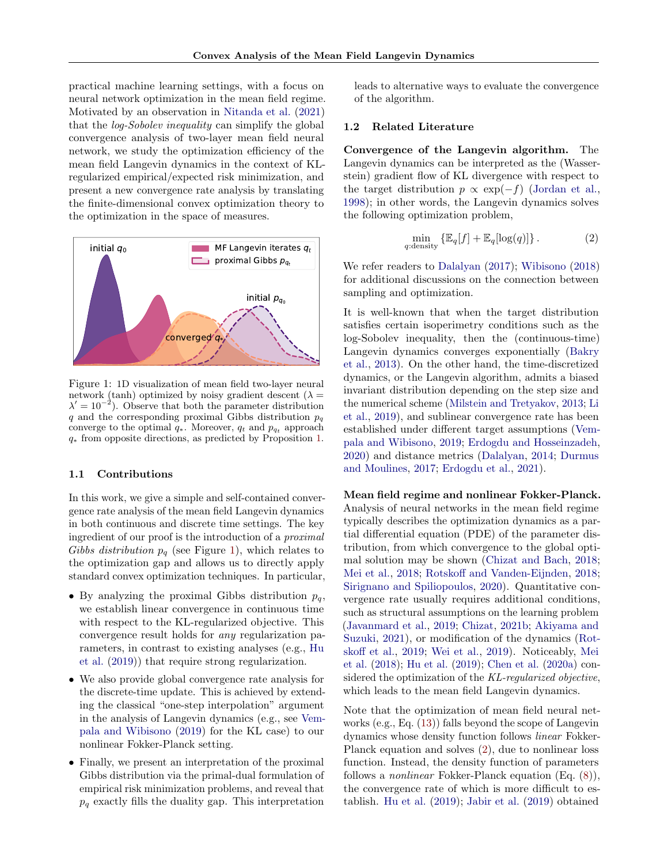practical machine learning settings, with a focus on neural network optimization in the mean field regime. Motivated by an observation in [Nitanda et al.](#page-9-10) [\(2021\)](#page-9-10) that the log-Sobolev inequality can simplify the global convergence analysis of two-layer mean field neural network, we study the optimization efficiency of the mean field Langevin dynamics in the context of KLregularized empirical/expected risk minimization, and present a new convergence rate analysis by translating the finite-dimensional convex optimization theory to the optimization in the space of measures.

<span id="page-1-0"></span>

Figure 1: 1D visualization of mean field two-layer neural network (tanh) optimized by noisy gradient descent ( $\lambda =$  $\lambda' = 10^{-2}$ ). Observe that both the parameter distribution q and the corresponding proximal Gibbs distribution  $p_q$ converge to the optimal  $q_*$ . Moreover,  $q_t$  and  $p_{q_t}$  approach q<sup>∗</sup> from opposite directions, as predicted by Proposition [1.](#page-4-0)

#### <span id="page-1-2"></span>1.1 Contributions

In this work, we give a simple and self-contained convergence rate analysis of the mean field Langevin dynamics in both continuous and discrete time settings. The key ingredient of our proof is the introduction of a proximal Gibbs distribution  $p_q$  (see Figure [1\)](#page-1-0), which relates to the optimization gap and allows us to directly apply standard convex optimization techniques. In particular,

- By analyzing the proximal Gibbs distribution  $p_q$ , we establish linear convergence in continuous time with respect to the KL-regularized objective. This convergence result holds for any regularization parameters, in contrast to existing analyses (e.g., [Hu](#page-9-6) [et al.](#page-9-6) [\(2019\)](#page-9-6)) that require strong regularization.
- We also provide global convergence rate analysis for the discrete-time update. This is achieved by extending the classical "one-step interpolation" argument in the analysis of Langevin dynamics (e.g., see [Vem](#page-10-0)[pala and Wibisono](#page-10-0) [\(2019\)](#page-10-0) for the KL case) to our nonlinear Fokker-Planck setting.
- Finally, we present an interpretation of the proximal Gibbs distribution via the primal-dual formulation of empirical risk minimization problems, and reveal that  $p_q$  exactly fills the duality gap. This interpretation

leads to alternative ways to evaluate the convergence of the algorithm.

## 1.2 Related Literature

Convergence of the Langevin algorithm. The Langevin dynamics can be interpreted as the (Wasserstein) gradient flow of KL divergence with respect to the target distribution  $p \propto \exp(-f)$  [\(Jordan et al.,](#page-9-11) [1998\)](#page-9-11); in other words, the Langevin dynamics solves the following optimization problem,

<span id="page-1-1"></span>
$$
\min_{q:\text{density}} \left\{ \mathbb{E}_q[f] + \mathbb{E}_q[\log(q)] \right\}. \tag{2}
$$

We refer readers to [Dalalyan](#page-9-12) [\(2017\)](#page-9-12); [Wibisono](#page-10-3) [\(2018\)](#page-10-3) for additional discussions on the connection between sampling and optimization.

It is well-known that when the target distribution satisfies certain isoperimetry conditions such as the log-Sobolev inequality, then the (continuous-time) Langevin dynamics converges exponentially [\(Bakry](#page-8-2) [et al.,](#page-8-2) [2013\)](#page-8-2). On the other hand, the time-discretized dynamics, or the Langevin algorithm, admits a biased invariant distribution depending on the step size and the numerical scheme [\(Milstein and Tretyakov,](#page-9-13) [2013;](#page-9-13) [Li](#page-9-14) [et al.,](#page-9-14) [2019\)](#page-9-14), and sublinear convergence rate has been established under different target assumptions [\(Vem](#page-10-0)[pala and Wibisono,](#page-10-0) [2019;](#page-10-0) [Erdogdu and Hosseinzadeh,](#page-9-15) [2020\)](#page-9-15) and distance metrics [\(Dalalyan,](#page-9-16) [2014;](#page-9-16) [Durmus](#page-9-17) [and Moulines,](#page-9-17) [2017;](#page-9-17) [Erdogdu et al.,](#page-9-18) [2021\)](#page-9-18).

Mean field regime and nonlinear Fokker-Planck. Analysis of neural networks in the mean field regime typically describes the optimization dynamics as a partial differential equation (PDE) of the parameter distribution, from which convergence to the global optimal solution may be shown [\(Chizat and Bach,](#page-8-0) [2018;](#page-8-0) [Mei et al.,](#page-9-3) [2018;](#page-9-3) [Rotskoff and Vanden-Eijnden,](#page-10-2) [2018;](#page-10-2) [Sirignano and Spiliopoulos,](#page-10-4) [2020\)](#page-10-4). Quantitative convergence rate usually requires additional conditions, such as structural assumptions on the learning problem [\(Javanmard et al.,](#page-9-4) [2019;](#page-9-4) [Chizat,](#page-8-1) [2021b;](#page-8-1) [Akiyama and](#page-8-3) [Suzuki,](#page-8-3) [2021\)](#page-8-3), or modification of the dynamics [\(Rot](#page-10-5)[skoff et al.,](#page-10-5) [2019;](#page-10-5) [Wei et al.,](#page-10-6) [2019\)](#page-10-6). Noticeably, [Mei](#page-9-3) [et al.](#page-9-3) [\(2018\)](#page-9-3); [Hu et al.](#page-9-6) [\(2019\)](#page-9-6); [Chen et al.](#page-8-4) [\(2020a\)](#page-8-4) considered the optimization of the KL-regularized objective, which leads to the mean field Langevin dynamics.

Note that the optimization of mean field neural networks (e.g., Eq. [\(13\)](#page-3-0)) falls beyond the scope of Langevin dynamics whose density function follows linear Fokker-Planck equation and solves [\(2\)](#page-1-1), due to nonlinear loss function. Instead, the density function of parameters follows a nonlinear Fokker-Planck equation (Eq. [\(8\)](#page-3-1)), the convergence rate of which is more difficult to establish. [Hu et al.](#page-9-6) [\(2019\)](#page-9-6); [Jabir et al.](#page-9-7) [\(2019\)](#page-9-7) obtained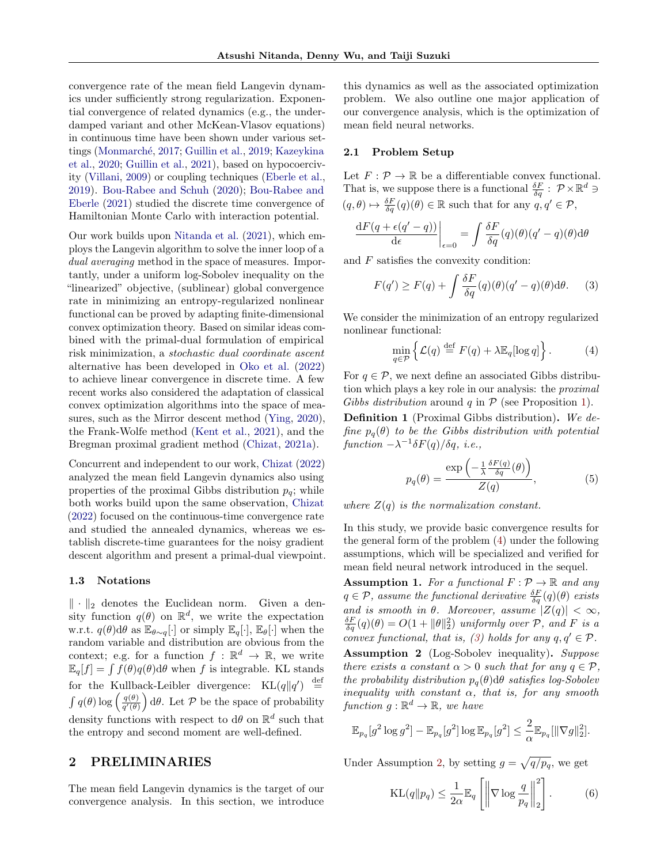convergence rate of the mean field Langevin dynamics under sufficiently strong regularization. Exponential convergence of related dynamics (e.g., the underdamped variant and other McKean-Vlasov equations) in continuous time have been shown under various set-tings (Monmarché, [2017;](#page-9-19) [Guillin et al.,](#page-9-20) [2019;](#page-9-20) [Kazeykina](#page-9-8) [et al.,](#page-9-8) [2020;](#page-9-8) [Guillin et al.,](#page-9-9) [2021\)](#page-9-9), based on hypocoercivity [\(Villani,](#page-10-7) [2009\)](#page-10-7) or coupling techniques [\(Eberle et al.,](#page-9-21) [2019\)](#page-9-21). [Bou-Rabee and Schuh](#page-8-5) [\(2020\)](#page-8-5); [Bou-Rabee and](#page-8-6) [Eberle](#page-8-6) [\(2021\)](#page-8-6) studied the discrete time convergence of Hamiltonian Monte Carlo with interaction potential.

Our work builds upon [Nitanda et al.](#page-9-10) [\(2021\)](#page-9-10), which employs the Langevin algorithm to solve the inner loop of a dual averaging method in the space of measures. Importantly, under a uniform log-Sobolev inequality on the "linearized" objective, (sublinear) global convergence rate in minimizing an entropy-regularized nonlinear functional can be proved by adapting finite-dimensional convex optimization theory. Based on similar ideas combined with the primal-dual formulation of empirical risk minimization, a stochastic dual coordinate ascent alternative has been developed in [Oko et al.](#page-9-22) [\(2022\)](#page-9-22) to achieve linear convergence in discrete time. A few recent works also considered the adaptation of classical convex optimization algorithms into the space of measures, such as the Mirror descent method [\(Ying,](#page-10-8) [2020\)](#page-10-8), the Frank-Wolfe method [\(Kent et al.,](#page-9-23) [2021\)](#page-9-23), and the Bregman proximal gradient method [\(Chizat,](#page-8-7) [2021a\)](#page-8-7).

Concurrent and independent to our work, [Chizat](#page-8-8) [\(2022\)](#page-8-8) analyzed the mean field Langevin dynamics also using properties of the proximal Gibbs distribution  $p_q$ ; while both works build upon the same observation, [Chizat](#page-8-8) [\(2022\)](#page-8-8) focused on the continuous-time convergence rate and studied the annealed dynamics, whereas we establish discrete-time guarantees for the noisy gradient descent algorithm and present a primal-dual viewpoint.

#### <span id="page-2-4"></span>1.3 Notations

 $\|\cdot\|_2$  denotes the Euclidean norm. Given a density function  $q(\theta)$  on  $\mathbb{R}^d$ , we write the expectation w.r.t.  $q(\theta) d\theta$  as  $\mathbb{E}_{\theta \sim q}[\cdot]$  or simply  $\mathbb{E}_q[\cdot], \mathbb{E}_{\theta}[\cdot]$  when the random variable and distribution are obvious from the context; e.g. for a function  $f : \mathbb{R}^d \to \mathbb{R}$ , we write  $\mathbb{E}_q[f] = \int \tilde{f}(\theta)q(\theta) d\theta$  when f is integrable. KL stands for the Kullback-Leibler divergence:  $KL(q||q') \stackrel{\text{def}}{=}$  $\int q(\theta) \log \left( \frac{q(\theta)}{q'(\theta)} \right)$  $\left(\frac{q(\theta)}{q'(\theta)}\right) d\theta$ . Let P be the space of probability density functions with respect to  $d\theta$  on  $\mathbb{R}^d$  such that the entropy and second moment are well-defined.

# 2 PRELIMINARIES

The mean field Langevin dynamics is the target of our convergence analysis. In this section, we introduce this dynamics as well as the associated optimization problem. We also outline one major application of our convergence analysis, which is the optimization of mean field neural networks.

#### <span id="page-2-5"></span>2.1 Problem Setup

Let  $F: \mathcal{P} \to \mathbb{R}$  be a differentiable convex functional. That is, we suppose there is a functional  $\frac{\delta F}{\delta q}$ :  $\mathcal{P} \times \mathbb{R}^d$   $\ni$  $(q, \theta) \mapsto \frac{\delta F}{\delta q}(q)(\theta) \in \mathbb{R}$  such that for any  $q, q' \in \mathcal{P}$ ,

$$
\frac{\mathrm{d}F(q+\epsilon(q'-q))}{\mathrm{d}\epsilon}\bigg|_{\epsilon=0} = \int \frac{\delta F}{\delta q}(q)(\theta)(q'-q)(\theta)\mathrm{d}\theta
$$

and F satisfies the convexity condition:

<span id="page-2-1"></span>
$$
F(q') \ge F(q) + \int \frac{\delta F}{\delta q}(q)(\theta)(q' - q)(\theta) d\theta.
$$
 (3)

We consider the minimization of an entropy regularized nonlinear functional:

<span id="page-2-0"></span>
$$
\min_{q \in \mathcal{P}} \left\{ \mathcal{L}(q) \stackrel{\text{def}}{=} F(q) + \lambda \mathbb{E}_q[\log q] \right\}. \tag{4}
$$

For  $q \in \mathcal{P}$ , we next define an associated Gibbs distribution which plays a key role in our analysis: the proximal Gibbs distribution around q in  $P$  (see Proposition [1\)](#page-4-0).

Definition 1 (Proximal Gibbs distribution). We define  $p_q(\theta)$  to be the Gibbs distribution with potential  $function -\lambda^{-1}\delta F(q)/\delta q$ , *i.e.*,

$$
p_q(\theta) = \frac{\exp\left(-\frac{1}{\lambda} \frac{\delta F(q)}{\delta q}(\theta)\right)}{Z(q)},
$$
\n(5)

where  $Z(q)$  is the normalization constant.

In this study, we provide basic convergence results for the general form of the problem [\(4\)](#page-2-0) under the following assumptions, which will be specialized and verified for mean field neural network introduced in the sequel.

<span id="page-2-3"></span><span id="page-2-2"></span>**Assumption 1.** For a functional  $F : \mathcal{P} \to \mathbb{R}$  and any  $q \in \mathcal{P}$ , assume the functional derivative  $\frac{\delta F}{\delta q}(q)(\theta)$  exists and is smooth in  $\theta$ . Moreover, assume  $|Z(q)| < \infty$ ,  $\frac{\delta F}{\delta q}(q)(\theta) = O(1 + ||\theta||_2^2)$  uniformly over  $P$ , and  $F$  is a convex functional, that is, [\(3\)](#page-2-1) holds for any  $q, q' \in \mathcal{P}$ . Assumption 2 (Log-Sobolev inequality). Suppose there exists a constant  $\alpha > 0$  such that for any  $q \in \mathcal{P}$ , the probability distribution  $p_q(\theta) d\theta$  satisfies log-Sobolev inequality with constant  $\alpha$ , that is, for any smooth function  $g : \mathbb{R}^d \to \mathbb{R}$ , we have

$$
\mathbb{E}_{p_q}[g^2 \log g^2] - \mathbb{E}_{p_q}[g^2] \log \mathbb{E}_{p_q}[g^2] \le \frac{2}{\alpha} \mathbb{E}_{p_q}[\|\nabla g\|_2^2].
$$

Under Assumption [2,](#page-2-2) by setting  $g = \sqrt{q/p_q}$ , we get

$$
KL(q||p_q) \le \frac{1}{2\alpha} \mathbb{E}_q \left[ \left\| \nabla \log \frac{q}{p_q} \right\|_2^2 \right].
$$
 (6)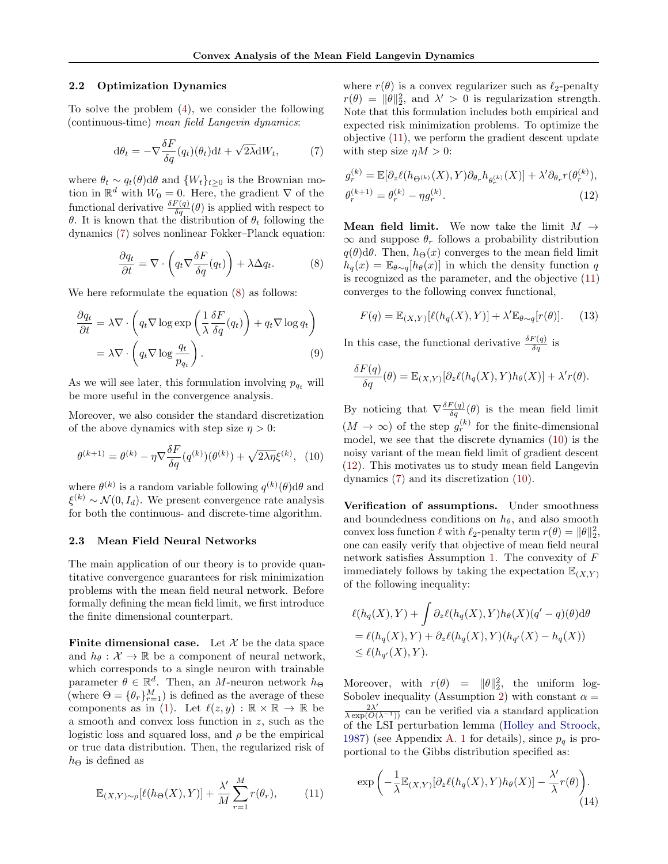### 2.2 Optimization Dynamics

To solve the problem [\(4\)](#page-2-0), we consider the following (continuous-time) mean field Langevin dynamics:

<span id="page-3-2"></span>
$$
d\theta_t = -\nabla \frac{\delta F}{\delta q}(q_t)(\theta_t)dt + \sqrt{2\lambda}dW_t, \tag{7}
$$

where  $\theta_t \sim q_t(\theta) d\theta$  and  $\{W_t\}_{t\geq 0}$  is the Brownian motion in  $\mathbb{R}^d$  with  $W_0 = 0$ . Here, the gradient  $\nabla$  of the functional derivative  $\frac{\delta F(q)}{\delta q}(\theta)$  is applied with respect to θ. It is known that the distribution of  $θ_t$  following the dynamics [\(7\)](#page-3-2) solves nonlinear Fokker–Planck equation:

<span id="page-3-1"></span>
$$
\frac{\partial q_t}{\partial t} = \nabla \cdot \left( q_t \nabla \frac{\delta F}{\delta q} (q_t) \right) + \lambda \Delta q_t.
$$
 (8)

We here reformulate the equation [\(8\)](#page-3-1) as follows:

$$
\frac{\partial q_t}{\partial t} = \lambda \nabla \cdot \left( q_t \nabla \log \exp \left( \frac{1}{\lambda} \frac{\delta F}{\delta q} (q_t) \right) + q_t \nabla \log q_t \right) \n= \lambda \nabla \cdot \left( q_t \nabla \log \frac{q_t}{p_{q_t}} \right).
$$
\n(9)

As we will see later, this formulation involving  $p_{q_t}$  will be more useful in the convergence analysis.

Moreover, we also consider the standard discretization of the above dynamics with step size  $\eta > 0$ :

<span id="page-3-4"></span>
$$
\theta^{(k+1)} = \theta^{(k)} - \eta \nabla \frac{\delta F}{\delta q} (q^{(k)}) (\theta^{(k)}) + \sqrt{2\lambda \eta} \xi^{(k)}, \tag{10}
$$

where  $\theta^{(k)}$  is a random variable following  $q^{(k)}(\theta) d\theta$  and  $\xi^{(k)} \sim \mathcal{N}(0, I_d)$ . We present convergence rate analysis for both the continuous- and discrete-time algorithm.

#### <span id="page-3-7"></span>2.3 Mean Field Neural Networks

The main application of our theory is to provide quantitative convergence guarantees for risk minimization problems with the mean field neural network. Before formally defining the mean field limit, we first introduce the finite dimensional counterpart.

Finite dimensional case. Let  $\mathcal X$  be the data space and  $h_{\theta}: \mathcal{X} \to \mathbb{R}$  be a component of neural network, which corresponds to a single neuron with trainable parameter  $\theta \in \mathbb{R}^d$ . Then, an M-neuron network  $h_{\Theta}$ (where  $\Theta = {\theta_r}_{r=1}^M$ ) is defined as the average of these components as in [\(1\)](#page-0-0). Let  $\ell(z, y) : \mathbb{R} \times \mathbb{R} \to \mathbb{R}$  be a smooth and convex loss function in z, such as the logistic loss and squared loss, and  $\rho$  be the empirical or true data distribution. Then, the regularized risk of  $h_{\Theta}$  is defined as

<span id="page-3-3"></span>
$$
\mathbb{E}_{(X,Y)\sim\rho}[\ell(h_{\Theta}(X),Y)] + \frac{\lambda'}{M} \sum_{r=1}^{M} r(\theta_r), \tag{11}
$$

where  $r(\theta)$  is a convex regularizer such as  $\ell_2$ -penalty  $r(\theta) = ||\theta||_2^2$ , and  $\lambda' > 0$  is regularization strength. Note that this formulation includes both empirical and expected risk minimization problems. To optimize the objective [\(11\)](#page-3-3), we perform the gradient descent update with step size  $\eta M > 0$ :

<span id="page-3-5"></span>
$$
g_r^{(k)} = \mathbb{E}[\partial_z \ell(h_{\Theta^{(k)}}(X), Y)\partial_{\theta_r} h_{\theta_r^{(k)}}(X)] + \lambda' \partial_{\theta_r} r(\theta_r^{(k)}),
$$
  

$$
\theta_r^{(k+1)} = \theta_r^{(k)} - \eta g_r^{(k)}.
$$
 (12)

**Mean field limit.** We now take the limit  $M \rightarrow$  $\infty$  and suppose  $\theta_r$  follows a probability distribution  $q(\theta) d\theta$ . Then,  $h_{\Theta}(x)$  converges to the mean field limit  $h_q(x) = \mathbb{E}_{\theta \sim q}[h_{\theta}(x)]$  in which the density function q is recognized as the parameter, and the objective [\(11\)](#page-3-3) converges to the following convex functional,

<span id="page-3-0"></span>
$$
F(q) = \mathbb{E}_{(X,Y)}[\ell(h_q(X),Y)] + \lambda' \mathbb{E}_{\theta \sim q}[r(\theta)]. \quad (13)
$$

<span id="page-3-6"></span>In this case, the functional derivative  $\frac{\delta F(q)}{\delta q}$  is

$$
\frac{\delta F(q)}{\delta q}(\theta) = \mathbb{E}_{(X,Y)}[\partial_z \ell(h_q(X), Y)h_\theta(X)] + \lambda' r(\theta).
$$

By noticing that  $\nabla \frac{\delta F(q)}{\delta q}(\theta)$  is the mean field limit  $(M \to \infty)$  of the step  $g_r^{(k)}$  for the finite-dimensional model, we see that the discrete dynamics [\(10\)](#page-3-4) is the noisy variant of the mean field limit of gradient descent [\(12\)](#page-3-5). This motivates us to study mean field Langevin dynamics [\(7\)](#page-3-2) and its discretization [\(10\)](#page-3-4).

Verification of assumptions. Under smoothness and boundedness conditions on  $h_{\theta}$ , and also smooth convex loss function  $\ell$  with  $\ell_2$ -penalty term  $r(\theta) = ||\theta||_2^2$ , one can easily verify that objective of mean field neural network satisfies Assumption [1.](#page-2-3) The convexity of F immediately follows by taking the expectation  $\mathbb{E}_{(X,Y)}$ of the following inequality:

$$
\ell(h_q(X), Y) + \int \partial_z \ell(h_q(X), Y) h_{\theta}(X)(q' - q)(\theta) d\theta
$$
  
=  $\ell(h_q(X), Y) + \partial_z \ell(h_q(X), Y)(h_{q'}(X) - h_q(X))$   
 $\leq \ell(h_{q'}(X), Y).$ 

Moreover, with  $r(\theta) = ||\theta||_2^2$ , the uniform log-Sobolev inequality (Assumption [2\)](#page-2-2) with constant  $\alpha =$  $\frac{2\lambda'}{\lambda \exp(O(\lambda^{-1}))}$  can be verified via a standard application of the LSI perturbation lemma [\(Holley and Stroock,](#page-9-24) [1987\)](#page-9-24) (see Appendix [A. 1](#page-1-2) for details), since  $p_q$  is proportional to the Gibbs distribution specified as:

<span id="page-3-8"></span>
$$
\exp\left(-\frac{1}{\lambda}\mathbb{E}_{(X,Y)}[\partial_z\ell(h_q(X),Y)h_\theta(X)] - \frac{\lambda'}{\lambda}r(\theta)\right).
$$
\n(14)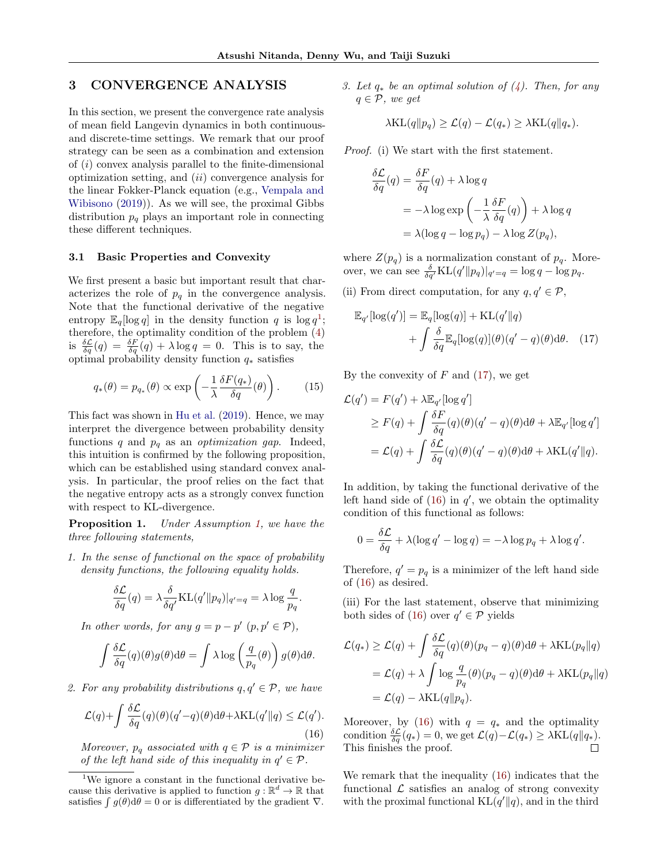# <span id="page-4-5"></span>3 CONVERGENCE ANALYSIS

In this section, we present the convergence rate analysis of mean field Langevin dynamics in both continuousand discrete-time settings. We remark that our proof strategy can be seen as a combination and extension of (i) convex analysis parallel to the finite-dimensional optimization setting, and  $(ii)$  convergence analysis for the linear Fokker-Planck equation (e.g., [Vempala and](#page-10-0) [Wibisono](#page-10-0) [\(2019\)](#page-10-0)). As we will see, the proximal Gibbs distribution  $p_q$  plays an important role in connecting these different techniques.

## 3.1 Basic Properties and Convexity

We first present a basic but important result that characterizes the role of  $p_q$  in the convergence analysis. Note that the functional derivative of the negative entropy  $\mathbb{E}_q[log q]$  in the density function q is  $log q^1$  $log q^1$ ; therefore, the optimality condition of the problem [\(4\)](#page-2-0) is  $\frac{\delta \mathcal{L}}{\delta q}(q) = \frac{\delta F}{\delta q}(q) + \lambda \log q = 0$ . This is to say, the optimal probability density function  $q_*$  satisfies

<span id="page-4-4"></span>
$$
q_*(\theta) = p_{q_*}(\theta) \propto \exp\left(-\frac{1}{\lambda} \frac{\delta F(q_*)}{\delta q}(\theta)\right). \tag{15}
$$

This fact was shown in [Hu et al.](#page-9-6) [\(2019\)](#page-9-6). Hence, we may interpret the divergence between probability density functions q and  $p_q$  as an *optimization gap*. Indeed, this intuition is confirmed by the following proposition, which can be established using standard convex analysis. In particular, the proof relies on the fact that the negative entropy acts as a strongly convex function with respect to KL-divergence.

<span id="page-4-0"></span>Proposition 1. Under Assumption [1,](#page-2-3) we have the three following statements,

1. In the sense of functional on the space of probability density functions, the following equality holds.

$$
\frac{\delta \mathcal{L}}{\delta q}(q) = \lambda \frac{\delta}{\delta q'} \text{KL}(q' \| p_q) |_{q'=q} = \lambda \log \frac{q}{p_q}.
$$

In other words, for any  $g = p - p' (p, p' \in P)$ ,

$$
\int \frac{\delta \mathcal{L}}{\delta q}(q)(\theta)g(\theta) d\theta = \int \lambda \log \left(\frac{q}{p_q}(\theta)\right) g(\theta) d\theta.
$$

2. For any probability distributions  $q, q' \in \mathcal{P}$ , we have

<span id="page-4-3"></span>
$$
\mathcal{L}(q) + \int \frac{\delta \mathcal{L}}{\delta q}(q)(\theta)(q'-q)(\theta) d\theta + \lambda \text{KL}(q' \| q) \le \mathcal{L}(q').
$$
\n(16)

Moreover,  $p_q$  associated with  $q \in \mathcal{P}$  is a minimizer of the left hand side of this inequality in  $q' \in \mathcal{P}$ .

3. Let  $q_*$  be an optimal solution of  $(4)$ . Then, for any  $q \in \mathcal{P}$ , we get

$$
\lambda \text{KL}(q||p_q) \geq \mathcal{L}(q) - \mathcal{L}(q_*) \geq \lambda \text{KL}(q||q_*).
$$

Proof. (i) We start with the first statement.

$$
\frac{\delta \mathcal{L}}{\delta q}(q) = \frac{\delta F}{\delta q}(q) + \lambda \log q
$$
  
= -\lambda \log \exp \left(-\frac{1}{\lambda} \frac{\delta F}{\delta q}(q)\right) + \lambda \log q  
= \lambda (\log q - \log p\_q) - \lambda \log Z(p\_q),

where  $Z(p_q)$  is a normalization constant of  $p_q$ . Moreover, we can see  $\frac{\delta}{\delta q'} \text{KL}(q' \| p_q) |_{q'=q} = \log q - \log p_q$ .

(ii) From direct computation, for any  $q, q' \in \mathcal{P}$ ,

<span id="page-4-2"></span>
$$
\mathbb{E}_{q'}[\log(q')] = \mathbb{E}_{q}[\log(q)] + \text{KL}(q' || q)
$$

$$
+ \int \frac{\delta}{\delta q} \mathbb{E}_{q}[\log(q)](\theta)(q' - q)(\theta) d\theta. \quad (17)
$$

By the convexity of  $F$  and  $(17)$ , we get

$$
\mathcal{L}(q') = F(q') + \lambda \mathbb{E}_{q'}[\log q']
$$
  
\n
$$
\geq F(q) + \int \frac{\delta F}{\delta q}(q)(\theta)(q' - q)(\theta) d\theta + \lambda \mathbb{E}_{q'}[\log q']
$$
  
\n
$$
= \mathcal{L}(q) + \int \frac{\delta \mathcal{L}}{\delta q}(q)(\theta)(q' - q)(\theta) d\theta + \lambda \text{KL}(q' \| q).
$$

In addition, by taking the functional derivative of the left hand side of  $(16)$  in  $q'$ , we obtain the optimality condition of this functional as follows:

$$
0 = \frac{\delta \mathcal{L}}{\delta q} + \lambda (\log q' - \log q) = -\lambda \log p_q + \lambda \log q'.
$$

Therefore,  $q' = p_q$  is a minimizer of the left hand side of [\(16\)](#page-4-3) as desired.

(iii) For the last statement, observe that minimizing both sides of [\(16\)](#page-4-3) over  $q' \in \mathcal{P}$  yields

$$
\mathcal{L}(q_*) \ge \mathcal{L}(q) + \int \frac{\delta \mathcal{L}}{\delta q}(q)(\theta)(p_q - q)(\theta) d\theta + \lambda \text{KL}(p_q || q)
$$
  
=  $\mathcal{L}(q) + \lambda \int \log \frac{q}{p_q}(\theta)(p_q - q)(\theta) d\theta + \lambda \text{KL}(p_q || q)$   
=  $\mathcal{L}(q) - \lambda \text{KL}(q || p_q).$ 

Moreover, by [\(16\)](#page-4-3) with  $q = q_*$  and the optimality condition  $\frac{\delta \mathcal{L}}{\delta q}(q_*)=0$ , we get  $\mathcal{L}(q)-\mathcal{L}(q_*)\geq \lambda \text{KL}(q||q_*)$ . This finishes the proof.

We remark that the inequality [\(16\)](#page-4-3) indicates that the functional  $\mathcal L$  satisfies an analog of strong convexity with the proximal functional  $KL(q' || q)$ , and in the third

<span id="page-4-1"></span><sup>&</sup>lt;sup>1</sup>We ignore a constant in the functional derivative because this derivative is applied to function  $g : \mathbb{R}^d \to \mathbb{R}$  that satisfies  $\int g(\theta) d\theta = 0$  or is differentiated by the gradient  $\nabla$ .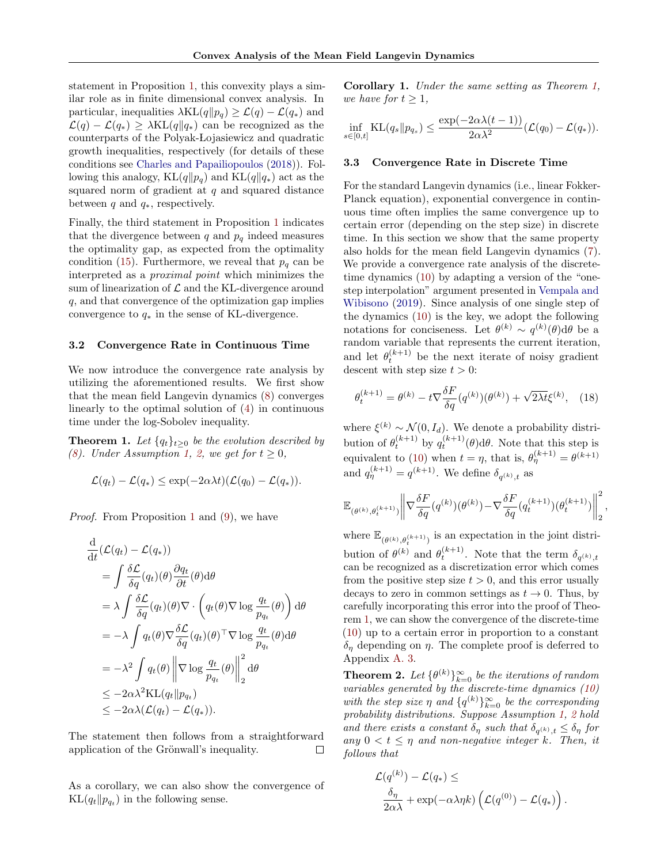statement in Proposition [1,](#page-4-0) this convexity plays a similar role as in finite dimensional convex analysis. In particular, inequalities  $\lambda KL(q||p_q) \geq \mathcal{L}(q) - \mathcal{L}(q_*)$  and  $\mathcal{L}(q) - \mathcal{L}(q_*) \ge \lambda KL(q||q_*)$  can be recognized as the counterparts of the Polyak- Lojasiewicz and quadratic growth inequalities, respectively (for details of these conditions see [Charles and Papailiopoulos](#page-8-9) [\(2018\)](#page-8-9)). Following this analogy, KL $(q||p_q)$  and KL $(q||q_*)$  act as the squared norm of gradient at  $q$  and squared distance between q and  $q_*,$  respectively.

Finally, the third statement in Proposition [1](#page-4-0) indicates that the divergence between  $q$  and  $p_q$  indeed measures the optimality gap, as expected from the optimality condition [\(15\)](#page-4-4). Furthermore, we reveal that  $p_q$  can be interpreted as a proximal point which minimizes the sum of linearization of  $\mathcal L$  and the KL-divergence around q, and that convergence of the optimization gap implies convergence to  $q_*$  in the sense of KL-divergence.

#### 3.2 Convergence Rate in Continuous Time

We now introduce the convergence rate analysis by utilizing the aforementioned results. We first show that the mean field Langevin dynamics [\(8\)](#page-3-1) converges linearly to the optimal solution of [\(4\)](#page-2-0) in continuous time under the log-Sobolev inequality.

<span id="page-5-0"></span>**Theorem 1.** Let  $\{q_t\}_{t>0}$  be the evolution described by [\(8\)](#page-3-1). Under Assumption [1,](#page-2-3) [2,](#page-2-2) we get for  $t \geq 0$ ,

$$
\mathcal{L}(q_t) - \mathcal{L}(q_*) \le \exp(-2\alpha \lambda t)(\mathcal{L}(q_0) - \mathcal{L}(q_*)).
$$

Proof. From Proposition [1](#page-4-0) and [\(9\)](#page-3-6), we have

$$
\frac{d}{dt}(\mathcal{L}(q_t) - \mathcal{L}(q_*))
$$
\n
$$
= \int \frac{\delta \mathcal{L}}{\delta q} (q_t)(\theta) \frac{\partial q_t}{\partial t} (\theta) d\theta
$$
\n
$$
= \lambda \int \frac{\delta \mathcal{L}}{\delta q} (q_t)(\theta) \nabla \cdot \left( q_t(\theta) \nabla \log \frac{q_t}{p_{q_t}}(\theta) \right) d\theta
$$
\n
$$
= -\lambda \int q_t(\theta) \nabla \frac{\delta \mathcal{L}}{\delta q} (q_t)(\theta)^\top \nabla \log \frac{q_t}{p_{q_t}}(\theta) d\theta
$$
\n
$$
= -\lambda^2 \int q_t(\theta) \left\| \nabla \log \frac{q_t}{p_{q_t}}(\theta) \right\|_2^2 d\theta
$$
\n
$$
\leq -2\alpha \lambda^2 \text{KL}(q_t \| p_{q_t})
$$
\n
$$
\leq -2\alpha \lambda (\mathcal{L}(q_t) - \mathcal{L}(q_*)).
$$

The statement then follows from a straightforward application of the Grönwall's inequality.  $\Box$ 

As a corollary, we can also show the convergence of  $KL(q_t||p_{q_t})$  in the following sense.

<span id="page-5-3"></span>Corollary 1. Under the same setting as Theorem [1,](#page-5-0) we have for  $t \geq 1$ ,

$$
\inf_{s\in[0,t]} \mathrm{KL}(q_s\|p_{q_s}) \le \frac{\exp(-2\alpha\lambda(t-1))}{2\alpha\lambda^2}(\mathcal{L}(q_0)-\mathcal{L}(q_*)).
$$

## 3.3 Convergence Rate in Discrete Time

For the standard Langevin dynamics (i.e., linear Fokker-Planck equation), exponential convergence in continuous time often implies the same convergence up to certain error (depending on the step size) in discrete time. In this section we show that the same property also holds for the mean field Langevin dynamics [\(7\)](#page-3-2). We provide a convergence rate analysis of the discretetime dynamics [\(10\)](#page-3-4) by adapting a version of the "onestep interpolation" argument presented in [Vempala and](#page-10-0) [Wibisono](#page-10-0) [\(2019\)](#page-10-0). Since analysis of one single step of the dynamics [\(10\)](#page-3-4) is the key, we adopt the following notations for conciseness. Let  $\theta^{(k)} \sim q^{(k)}(\theta) d\theta$  be a random variable that represents the current iteration, and let  $\theta_t^{(k+1)}$  be the next iterate of noisy gradient descent with step size  $t > 0$ :

<span id="page-5-1"></span>
$$
\theta_t^{(k+1)} = \theta^{(k)} - t \nabla \frac{\delta F}{\delta q} (q^{(k)}) (\theta^{(k)}) + \sqrt{2\lambda t} \xi^{(k)}, \quad (18)
$$

where  $\xi^{(k)} \sim \mathcal{N}(0, I_d)$ . We denote a probability distribution of  $\theta_t^{(k+1)}$  by  $q_t^{(k+1)}(\theta) d\theta$ . Note that this step is equivalent to [\(10\)](#page-3-4) when  $t = \eta$ , that is,  $\theta_{\eta}^{(k+1)} = \theta^{(k+1)}$ and  $q_{\eta}^{(k+1)} = q^{(k+1)}$ . We define  $\delta_{q^{(k)},t}$  as

$$
\mathbb{E}_{(\theta^{(k)}, \theta_t^{(k+1)})} \bigg\| \nabla \frac{\delta F}{\delta q}(q^{(k)}) (\theta^{(k)}) - \nabla \frac{\delta F}{\delta q}(q_t^{(k+1)}) (\theta_t^{(k+1)}) \bigg\|_2^2 \,,
$$

where  $\mathbb{E}_{(\theta^{(k)},\theta_t^{(k+1)})}$  is an expectation in the joint distribution of  $\theta^{(k)}$  and  $\theta_t^{(k+1)}$ . Note that the term  $\delta_{q^{(k)},t}$ can be recognized as a discretization error which comes from the positive step size  $t > 0$ , and this error usually decays to zero in common settings as  $t \to 0$ . Thus, by carefully incorporating this error into the proof of Theorem [1,](#page-5-0) we can show the convergence of the discrete-time [\(10\)](#page-3-4) up to a certain error in proportion to a constant  $\delta_{\eta}$  depending on  $\eta$ . The complete proof is deferred to Appendix [A. 3.](#page-2-4)

<span id="page-5-2"></span>**Theorem 2.** Let  $\{\theta^{(k)}\}_{k=0}^{\infty}$  be the iterations of random variables generated by the discrete-time dynamics [\(10\)](#page-3-4) with the step size  $\eta$  and  $\{q^{(k)}\}_{k=0}^{\infty}$  be the corresponding probability distributions. Suppose Assumption [1,](#page-2-3) [2](#page-2-2) hold and there exists a constant  $\delta_{\eta}$  such that  $\delta_{q^{(k)},t} \leq \delta_{\eta}$  for any  $0 < t \leq \eta$  and non-negative integer k. Then, it follows that

$$
\mathcal{L}(q^{(k)}) - \mathcal{L}(q_*) \le
$$
  

$$
\frac{\delta_{\eta}}{2\alpha\lambda} + \exp(-\alpha\lambda\eta k) \left( \mathcal{L}(q^{(0)}) - \mathcal{L}(q_*) \right).
$$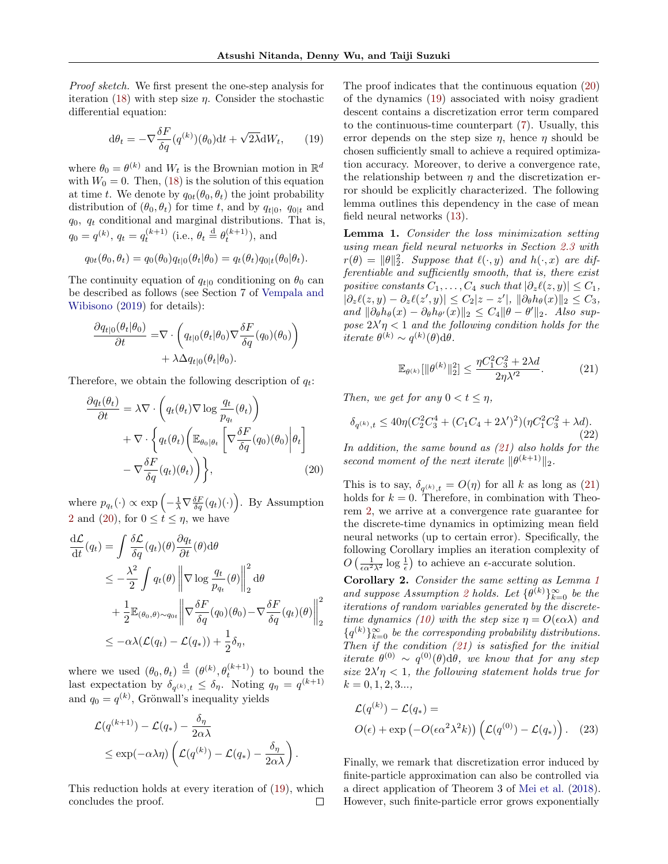Proof sketch. We first present the one-step analysis for iteration [\(18\)](#page-5-1) with step size  $\eta$ . Consider the stochastic differential equation:

<span id="page-6-1"></span>
$$
d\theta_t = -\nabla \frac{\delta F}{\delta q} (q^{(k)}) (\theta_0) dt + \sqrt{2\lambda} dW_t, \qquad (19)
$$

where  $\theta_0 = \theta^{(k)}$  and  $W_t$  is the Brownian motion in  $\mathbb{R}^d$ with  $W_0 = 0$ . Then, [\(18\)](#page-5-1) is the solution of this equation at time t. We denote by  $q_{0t}(\theta_0, \theta_t)$  the joint probability distribution of  $(\theta_0, \theta_t)$  for time t, and by  $q_{t|0}$ ,  $q_{0|t}$  and  $q_0$ ,  $q_t$  conditional and marginal distributions. That is,  $q_0 = q^{(k)}$ ,  $q_t = q_t^{(k+1)}$  (i.e.,  $\theta_t \stackrel{\text{d}}{=} \theta_t^{(k+1)}$ ), and

$$
q_{0t}(\theta_0, \theta_t) = q_0(\theta_0)q_{t|0}(\theta_t|\theta_0) = q_t(\theta_t)q_{0|t}(\theta_0|\theta_t).
$$

The continuity equation of  $q_{t|0}$  conditioning on  $\theta_0$  can be described as follows (see Section 7 of [Vempala and](#page-10-0) [Wibisono](#page-10-0) [\(2019\)](#page-10-0) for details):

$$
\frac{\partial q_{t|0}(\theta_t|\theta_0)}{\partial t} = \nabla \cdot \left( q_{t|0}(\theta_t|\theta_0) \nabla \frac{\delta F}{\delta q}(q_0)(\theta_0) \right) + \lambda \Delta q_{t|0}(\theta_t|\theta_0).
$$

Therefore, we obtain the following description of  $q_t$ :

$$
\frac{\partial q_t(\theta_t)}{\partial t} = \lambda \nabla \cdot \left( q_t(\theta_t) \nabla \log \frac{q_t}{p_{q_t}}(\theta_t) \right) \n+ \nabla \cdot \left\{ q_t(\theta_t) \left( \mathbb{E}_{\theta_0 | \theta_t} \left[ \nabla \frac{\delta F}{\delta q}(q_0)(\theta_0) \Big| \theta_t \right] \right. \n- \nabla \frac{\delta F}{\delta q}(q_t)(\theta_t) \right\},
$$
\n(20)

where  $p_{q_t}(\cdot) \propto \exp\left(-\frac{1}{\lambda} \nabla \frac{\delta F}{\delta q}(q_t)(\cdot)\right)$ . By Assumption [2](#page-2-2) and [\(20\)](#page-6-0), for  $0 \leq t \leq \eta$ , we have

$$
\frac{d\mathcal{L}}{dt}(q_t) = \int \frac{\delta \mathcal{L}}{\delta q}(q_t)(\theta) \frac{\partial q_t}{\partial t}(\theta) d\theta
$$
\n
$$
\leq -\frac{\lambda^2}{2} \int q_t(\theta) \left\| \nabla \log \frac{q_t}{p_{q_t}}(\theta) \right\|_2^2 d\theta
$$
\n
$$
+ \frac{1}{2} \mathbb{E}_{(\theta_0, \theta) \sim q_{0t}} \left\| \nabla \frac{\delta F}{\delta q}(q_0)(\theta_0) - \nabla \frac{\delta F}{\delta q}(q_t)(\theta) \right\|_2^2
$$
\n
$$
\leq -\alpha \lambda (\mathcal{L}(q_t) - \mathcal{L}(q_*)) + \frac{1}{2} \delta_{\eta},
$$

where we used  $(\theta_0, \theta_t) \stackrel{d}{=} (\theta^{(k)}, \theta_t^{(k+1)})$  to bound the last expectation by  $\delta_{q^{(k)},t} \leq \delta_{\eta}$ . Noting  $q_{\eta} = q^{(k+1)}$ and  $q_0 = q^{(k)}$ , Grönwall's inequality yields

$$
\mathcal{L}(q^{(k+1)}) - \mathcal{L}(q_*) - \frac{\delta_{\eta}}{2\alpha\lambda} \n\leq \exp(-\alpha\lambda\eta) \left( \mathcal{L}(q^{(k)}) - \mathcal{L}(q_*) - \frac{\delta_{\eta}}{2\alpha\lambda} \right).
$$

This reduction holds at every iteration of [\(19\)](#page-6-1), which concludes the proof.  $\Box$  The proof indicates that the continuous equation [\(20\)](#page-6-0) of the dynamics [\(19\)](#page-6-1) associated with noisy gradient descent contains a discretization error term compared to the continuous-time counterpart [\(7\)](#page-3-2). Usually, this error depends on the step size  $\eta$ , hence  $\eta$  should be chosen sufficiently small to achieve a required optimization accuracy. Moreover, to derive a convergence rate, the relationship between  $\eta$  and the discretization error should be explicitly characterized. The following lemma outlines this dependency in the case of mean field neural networks [\(13\)](#page-3-0).

<span id="page-6-3"></span>Lemma 1. Consider the loss minimization setting using mean field neural networks in Section [2.3](#page-3-7) with  $r(\theta) = ||\theta||_2^2$ . Suppose that  $\ell(\cdot, y)$  and  $h(\cdot, x)$  are differentiable and sufficiently smooth, that is, there exist positive constants  $C_1, \ldots, C_4$  such that  $|\partial_z \ell(z, y)| \leq C_1$ ,  $|\partial_z \ell(z, y) - \partial_z \ell(z', y)| \leq C_2 |z - z'|, \, \|\partial_\theta h_\theta(x)\|_2 \leq C_3,$ and  $\|\partial_{\theta}h_{\theta}(x) - \partial_{\theta}h_{\theta}(x)\|_2 \leq C_4 \|\theta - \theta'\|_2$ . Also suppose  $2\lambda' \eta < 1$  and the following condition holds for the iterate  $\theta^{(k)} \sim q^{(k)}(\theta) d\theta$ .

<span id="page-6-2"></span>
$$
\mathbb{E}_{\theta^{(k)}}[\|\theta^{(k)}\|_2^2] \le \frac{\eta C_1^2 C_3^2 + 2\lambda d}{2\eta \lambda'^2}.
$$
 (21)

Then, we get for any  $0 < t \leq \eta$ ,

$$
\delta_{q^{(k)},t} \le 40\eta (C_2^2 C_3^4 + (C_1 C_4 + 2\lambda')^2)(\eta C_1^2 C_3^2 + \lambda d).
$$
\n(22)

<span id="page-6-0"></span>In addition, the same bound as [\(21\)](#page-6-2) also holds for the second moment of the next iterate  $\|\theta^{(k+1)}\|_2$ .

This is to say,  $\delta_{q^{(k)},t} = O(\eta)$  for all k as long as [\(21\)](#page-6-2) holds for  $k = 0$ . Therefore, in combination with Theorem [2,](#page-5-2) we arrive at a convergence rate guarantee for the discrete-time dynamics in optimizing mean field neural networks (up to certain error). Specifically, the following Corollary implies an iteration complexity of  $O\left(\frac{1}{\epsilon \alpha^2 \lambda^2} \log \frac{1}{\epsilon}\right)$  to achieve an  $\epsilon$ -accurate solution.

Corollary 2. Consider the same setting as Lemma [1](#page-6-3) and suppose Assumption [2](#page-2-2) holds. Let  $\{\theta^{(k)}\}_{k=0}^{\infty}$  be the iterations of random variables generated by the discrete-time dynamics [\(10\)](#page-3-4) with the step size  $\eta = O(\epsilon \alpha \lambda)$  and  ${q^{(k)}}_{k=0}^{\infty}$  be the corresponding probability distributions. Then if the condition  $(21)$  is satisfied for the initial iterate  $\theta^{(0)} \sim q^{(0)}(\theta) d\theta$ , we know that for any step size  $2\lambda'\eta < 1$ , the following statement holds true for  $k = 0, 1, 2, 3...$ 

<span id="page-6-4"></span>
$$
\mathcal{L}(q^{(k)}) - \mathcal{L}(q_*) =
$$
  
\n
$$
O(\epsilon) + \exp(-O(\epsilon \alpha^2 \lambda^2 k)) \left( \mathcal{L}(q^{(0)}) - \mathcal{L}(q_*) \right). \quad (23)
$$

Finally, we remark that discretization error induced by finite-particle approximation can also be controlled via a direct application of Theorem 3 of [Mei et al.](#page-9-3) [\(2018\)](#page-9-3). However, such finite-particle error grows exponentially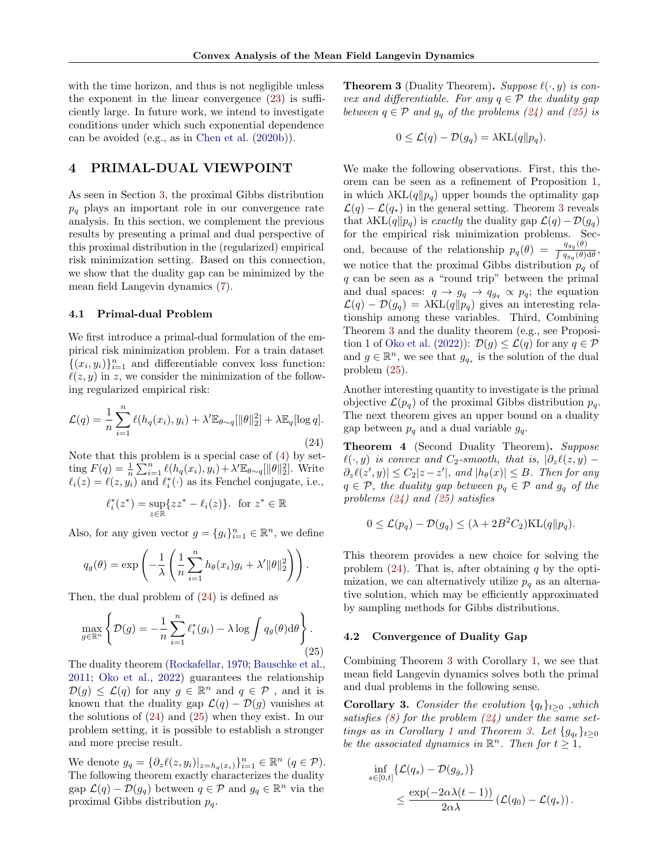with the time horizon, and thus is not negligible unless the exponent in the linear convergence [\(23\)](#page-6-4) is sufficiently large. In future work, we intend to investigate conditions under which such exponential dependence can be avoided (e.g., as in [Chen et al.](#page-8-10) [\(2020b\)](#page-8-10)).

# 4 PRIMAL-DUAL VIEWPOINT

As seen in Section [3,](#page-4-5) the proximal Gibbs distribution  $p_q$  plays an important role in our convergence rate analysis. In this section, we complement the previous results by presenting a primal and dual perspective of this proximal distribution in the (regularized) empirical risk minimization setting. Based on this connection, we show that the duality gap can be minimized by the mean field Langevin dynamics [\(7\)](#page-3-2).

## 4.1 Primal-dual Problem

We first introduce a primal-dual formulation of the empirical risk minimization problem. For a train dataset  $\{(x_i, y_i)\}_{i=1}^n$  and differentiable convex loss function:  $\ell(z, y)$  in z, we consider the minimization of the following regularized empirical risk:

<span id="page-7-0"></span>
$$
\mathcal{L}(q) = \frac{1}{n} \sum_{i=1}^{n} \ell(h_q(x_i), y_i) + \lambda' \mathbb{E}_{\theta \sim q}[\|\theta\|_2^2] + \lambda \mathbb{E}_q[\log q].
$$
\n(24)

Note that this problem is a special case of [\(4\)](#page-2-0) by setting  $F(q) = \frac{1}{n} \sum_{i=1}^{n} \ell(h_q(x_i), y_i) + \lambda' \mathbb{E}_{\theta \sim q}[\|\theta\|_2^2]$ . Write  $\ell_i(z) = \ell(z, y_i)$  and  $\ell_i^*(\cdot)$  as its Fenchel conjugate, i.e.,

$$
\ell_i^*(z^*) = \sup_{z \in \mathbb{R}} \{zz^* - \ell_i(z)\}. \text{ for } z^* \in \mathbb{R}
$$

Also, for any given vector  $g = \{g_i\}_{i=1}^n \in \mathbb{R}^n$ , we define

$$
q_g(\theta) = \exp\left(-\frac{1}{\lambda}\left(\frac{1}{n}\sum_{i=1}^n h_{\theta}(x_i)g_i + \lambda' \|\theta\|_2^2\right)\right).
$$

Then, the dual problem of [\(24\)](#page-7-0) is defined as

<span id="page-7-1"></span>
$$
\max_{g \in \mathbb{R}^n} \left\{ \mathcal{D}(g) = -\frac{1}{n} \sum_{i=1}^n \ell_i^*(g_i) - \lambda \log \int q_g(\theta) d\theta \right\}.
$$
\n(25)

The duality theorem [\(Rockafellar,](#page-10-9) [1970;](#page-10-9) [Bauschke et al.,](#page-8-11) [2011;](#page-8-11) [Oko et al.,](#page-9-22) [2022\)](#page-9-22) guarantees the relationship  $\mathcal{D}(g) \leq \mathcal{L}(q)$  for any  $g \in \mathbb{R}^n$  and  $q \in \mathcal{P}$ , and it is known that the duality gap  $\mathcal{L}(q) - \mathcal{D}(q)$  vanishes at the solutions of [\(24\)](#page-7-0) and [\(25\)](#page-7-1) when they exist. In our problem setting, it is possible to establish a stronger and more precise result.

We denote  $g_q = \{\partial_z \ell(z, y_i)|_{z=h_q(x_i)}\}_{i=1}^n \in \mathbb{R}^n \ (q \in \mathcal{P}).$ The following theorem exactly characterizes the duality gap  $\mathcal{L}(q) - \mathcal{D}(g_q)$  between  $q \in \mathcal{P}$  and  $g_q \in \mathbb{R}^n$  via the proximal Gibbs distribution  $p_q$ .

<span id="page-7-2"></span>**Theorem 3** (Duality Theorem). Suppose  $\ell(\cdot, y)$  is convex and differentiable. For any  $q \in \mathcal{P}$  the duality gap between  $q \in \mathcal{P}$  and  $g_q$  of the problems [\(24\)](#page-7-0) and [\(25\)](#page-7-1) is

$$
0 \leq \mathcal{L}(q) - \mathcal{D}(g_q) = \lambda \text{KL}(q||p_q).
$$

We make the following observations. First, this theorem can be seen as a refinement of Proposition [1,](#page-4-0) in which  $\lambda KL(q||p_q)$  upper bounds the optimality gap  $\mathcal{L}(q) - \mathcal{L}(q_*)$  in the general setting. Theorem [3](#page-7-2) reveals that  $\lambda KL(q||p_q)$  is exactly the duality gap  $\mathcal{L}(q) - \mathcal{D}(g_q)$ for the empirical risk minimization problems. Second, because of the relationship  $p_q(\theta) = \frac{q_{g_q}(\theta)}{\int_{\theta} q_q(\theta)}$  $\frac{q_{g_q}(\theta)}{\int q_{g_q}(\theta) d\theta}$ , we notice that the proximal Gibbs distribution  $p_q$  of q can be seen as a "round trip" between the primal and dual spaces:  $q \to g_q \to q_{g_q} \propto p_q$ ; the equation  $\mathcal{L}(q) - \mathcal{D}(g_q) = \lambda \text{KL}(q||p_q)$  gives an interesting relationship among these variables. Third, Combining Theorem [3](#page-7-2) and the duality theorem (e.g., see Proposi-tion 1 of [Oko et al.](#page-9-22) [\(2022\)](#page-9-22)):  $\mathcal{D}(q) \leq \mathcal{L}(q)$  for any  $q \in \mathcal{P}$ and  $g \in \mathbb{R}^n$ , we see that  $g_{q_*}$  is the solution of the dual problem [\(25\)](#page-7-1).

Another interesting quantity to investigate is the primal objective  $\mathcal{L}(p_q)$  of the proximal Gibbs distribution  $p_q$ . The next theorem gives an upper bound on a duality gap between  $p_q$  and a dual variable  $g_q$ .

<span id="page-7-3"></span>Theorem 4 (Second Duality Theorem). Suppose  $\ell(\cdot, y)$  is convex and C<sub>2</sub>-smooth, that is,  $|\partial_z \ell(z, y) - \ell(z, y)|$  $\partial_z \ell(z', y) \leq C_2 |z - z'|$ , and  $|h_\theta(x)| \leq B$ . Then for any  $q \in \mathcal{P}$ , the duality gap between  $p_q \in \mathcal{P}$  and  $g_q$  of the problems [\(24\)](#page-7-0) and [\(25\)](#page-7-1) satisfies

$$
0 \leq \mathcal{L}(p_q) - \mathcal{D}(g_q) \leq (\lambda + 2B^2 C_2) \text{KL}(q||p_q).
$$

This theorem provides a new choice for solving the problem  $(24)$ . That is, after obtaining q by the optimization, we can alternatively utilize  $p_q$  as an alternative solution, which may be efficiently approximated by sampling methods for Gibbs distributions.

#### 4.2 Convergence of Duality Gap

 $\boldsymbol{s}$ 

Combining Theorem [3](#page-7-2) with Corollary [1,](#page-5-3) we see that mean field Langevin dynamics solves both the primal and dual problems in the following sense.

**Corollary 3.** Consider the evolution  $\{q_t\}_{t>0}$ , which satisfies  $(8)$  for the problem  $(24)$  under the same set-tings as in Corollary [1](#page-5-3) and Theorem [3.](#page-7-2) Let  $\{g_{q_t}\}_{t\geq 0}$ be the associated dynamics in  $\mathbb{R}^n$ . Then for  $t \geq 1$ ,

$$
\inf_{\epsilon[0,t]}\{\mathcal{L}(q_s) - \mathcal{D}(g_{g_s})\}\
$$
  

$$
\leq \frac{\exp(-2\alpha\lambda(t-1))}{2\alpha\lambda}(\mathcal{L}(q_0) - \mathcal{L}(q_*)).
$$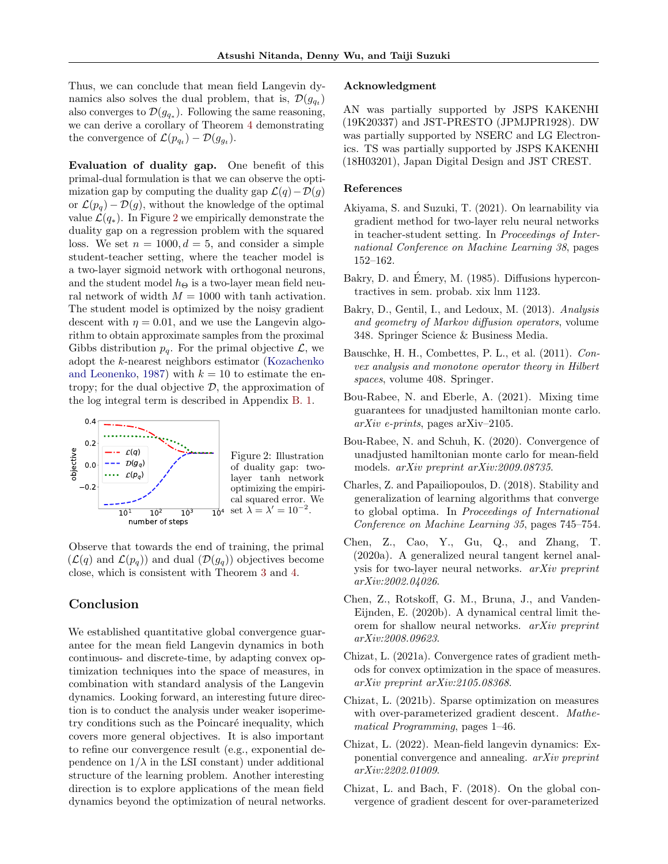Thus, we can conclude that mean field Langevin dynamics also solves the dual problem, that is,  $\mathcal{D}(g_{q_t})$ also converges to  $\mathcal{D}(g_{q_*})$ . Following the same reasoning, we can derive a corollary of Theorem [4](#page-7-3) demonstrating the convergence of  $\mathcal{L}(p_{q_t}) - \mathcal{D}(g_{g_t}).$ 

Evaluation of duality gap. One benefit of this primal-dual formulation is that we can observe the optimization gap by computing the duality gap  $\mathcal{L}(q)-\mathcal{D}(g)$ or  $\mathcal{L}(p_q) - \mathcal{D}(g)$ , without the knowledge of the optimal value  $\mathcal{L}(q_*)$ . In Figure [2](#page-8-12) we empirically demonstrate the duality gap on a regression problem with the squared loss. We set  $n = 1000, d = 5$ , and consider a simple student-teacher setting, where the teacher model is a two-layer sigmoid network with orthogonal neurons, and the student model  $h_{\Theta}$  is a two-layer mean field neural network of width  $M = 1000$  with tanh activation. The student model is optimized by the noisy gradient descent with  $\eta = 0.01$ , and we use the Langevin algorithm to obtain approximate samples from the proximal Gibbs distribution  $p_q$ . For the primal objective  $\mathcal{L}$ , we adopt the k-nearest neighbors estimator [\(Kozachenko](#page-9-25) [and Leonenko,](#page-9-25) [1987\)](#page-9-25) with  $k = 10$  to estimate the entropy; for the dual objective  $\mathcal{D}$ , the approximation of the log integral term is described in Appendix [B. 1.](#page-2-5)

<span id="page-8-12"></span>

4 set  $\lambda = \lambda' = 10^{-2}$ . Figure 2: Illustration of duality gap: twolayer tanh network optimizing the empirical squared error. We

Observe that towards the end of training, the primal  $(\mathcal{L}(q)$  and  $\mathcal{L}(p_q)$  and dual  $(\mathcal{D}(g_q))$  objectives become close, which is consistent with Theorem [3](#page-7-2) and [4.](#page-7-3)

# Conclusion

We established quantitative global convergence guarantee for the mean field Langevin dynamics in both continuous- and discrete-time, by adapting convex optimization techniques into the space of measures, in combination with standard analysis of the Langevin dynamics. Looking forward, an interesting future direction is to conduct the analysis under weaker isoperimetry conditions such as the Poincaré inequality, which covers more general objectives. It is also important to refine our convergence result (e.g., exponential dependence on  $1/\lambda$  in the LSI constant) under additional structure of the learning problem. Another interesting direction is to explore applications of the mean field dynamics beyond the optimization of neural networks.

#### Acknowledgment

AN was partially supported by JSPS KAKENHI (19K20337) and JST-PRESTO (JPMJPR1928). DW was partially supported by NSERC and LG Electronics. TS was partially supported by JSPS KAKENHI (18H03201), Japan Digital Design and JST CREST.

#### References

- <span id="page-8-3"></span>Akiyama, S. and Suzuki, T. (2021). On learnability via gradient method for two-layer relu neural networks in teacher-student setting. In Proceedings of International Conference on Machine Learning 38, pages 152–162.
- <span id="page-8-13"></span>Bakry, D. and Emery, M. (1985). Diffusions hypercontractives in sem. probab. xix lnm 1123.
- <span id="page-8-2"></span>Bakry, D., Gentil, I., and Ledoux, M. (2013). Analysis and geometry of Markov diffusion operators, volume 348. Springer Science & Business Media.
- <span id="page-8-11"></span>Bauschke, H. H., Combettes, P. L., et al. (2011). Convex analysis and monotone operator theory in Hilbert spaces, volume 408. Springer.
- <span id="page-8-6"></span>Bou-Rabee, N. and Eberle, A. (2021). Mixing time guarantees for unadjusted hamiltonian monte carlo.  $arXiv$  e-prints, pages arXiv–2105.
- <span id="page-8-5"></span>Bou-Rabee, N. and Schuh, K. (2020). Convergence of unadjusted hamiltonian monte carlo for mean-field models. arXiv preprint arXiv:2009.08735.
- <span id="page-8-9"></span>Charles, Z. and Papailiopoulos, D. (2018). Stability and generalization of learning algorithms that converge to global optima. In Proceedings of International Conference on Machine Learning 35, pages 745–754.
- <span id="page-8-4"></span>Chen, Z., Cao, Y., Gu, Q., and Zhang, T. (2020a). A generalized neural tangent kernel analysis for two-layer neural networks. arXiv preprint arXiv:2002.04026.
- <span id="page-8-10"></span>Chen, Z., Rotskoff, G. M., Bruna, J., and Vanden-Eijnden, E. (2020b). A dynamical central limit theorem for shallow neural networks. arXiv preprint arXiv:2008.09623.
- <span id="page-8-7"></span>Chizat, L. (2021a). Convergence rates of gradient methods for convex optimization in the space of measures. arXiv preprint arXiv:2105.08368.
- <span id="page-8-1"></span>Chizat, L. (2021b). Sparse optimization on measures with over-parameterized gradient descent. Mathematical Programming, pages 1–46.
- <span id="page-8-8"></span>Chizat, L. (2022). Mean-field langevin dynamics: Exponential convergence and annealing. arXiv preprint arXiv:2202.01009.
- <span id="page-8-0"></span>Chizat, L. and Bach, F. (2018). On the global convergence of gradient descent for over-parameterized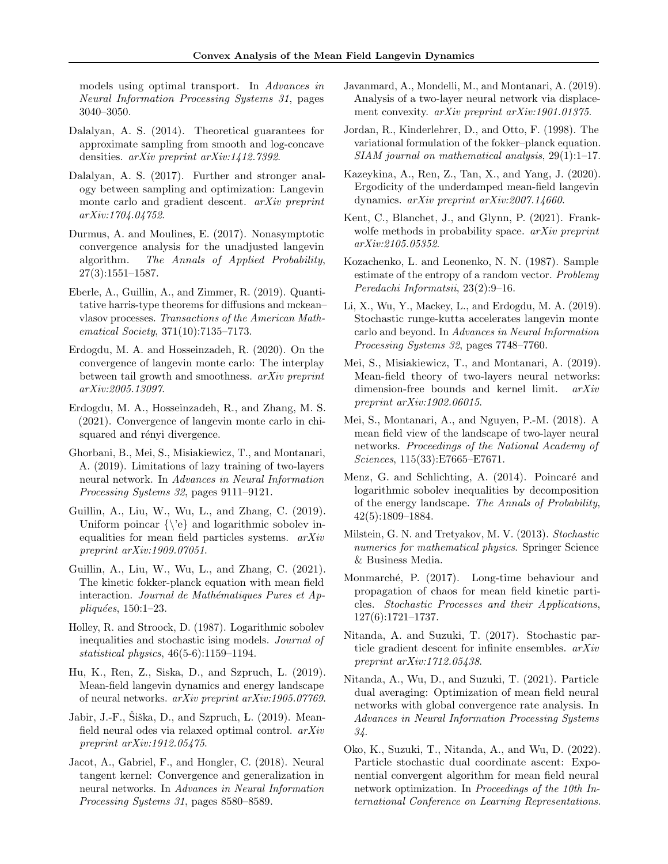models using optimal transport. In Advances in Neural Information Processing Systems 31, pages 3040–3050.

- <span id="page-9-16"></span>Dalalyan, A. S. (2014). Theoretical guarantees for approximate sampling from smooth and log-concave densities. arXiv preprint arXiv:1412.7392.
- <span id="page-9-12"></span>Dalalyan, A. S. (2017). Further and stronger analogy between sampling and optimization: Langevin monte carlo and gradient descent. *arXiv preprint* arXiv:1704.04752.
- <span id="page-9-17"></span>Durmus, A. and Moulines, E. (2017). Nonasymptotic convergence analysis for the unadjusted langevin algorithm. The Annals of Applied Probability, 27(3):1551–1587.
- <span id="page-9-21"></span>Eberle, A., Guillin, A., and Zimmer, R. (2019). Quantitative harris-type theorems for diffusions and mckean– vlasov processes. Transactions of the American Mathematical Society, 371(10):7135–7173.
- <span id="page-9-15"></span>Erdogdu, M. A. and Hosseinzadeh, R. (2020). On the convergence of langevin monte carlo: The interplay between tail growth and smoothness. arXiv preprint arXiv:2005.13097.
- <span id="page-9-18"></span>Erdogdu, M. A., Hosseinzadeh, R., and Zhang, M. S. (2021). Convergence of langevin monte carlo in chisquared and rényi divergence.
- <span id="page-9-1"></span>Ghorbani, B., Mei, S., Misiakiewicz, T., and Montanari, A. (2019). Limitations of lazy training of two-layers neural network. In Advances in Neural Information Processing Systems 32, pages 9111–9121.
- <span id="page-9-20"></span>Guillin, A., Liu, W., Wu, L., and Zhang, C. (2019). Uniform poincar  $\{\ee\}$  and logarithmic sobolev inequalities for mean field particles systems. arXiv preprint arXiv:1909.07051.
- <span id="page-9-9"></span>Guillin, A., Liu, W., Wu, L., and Zhang, C. (2021). The kinetic fokker-planck equation with mean field interaction. Journal de Mathématiques Pures et Appliquées,  $150:1-23$ .
- <span id="page-9-24"></span>Holley, R. and Stroock, D. (1987). Logarithmic sobolev inequalities and stochastic ising models. Journal of statistical physics, 46(5-6):1159–1194.
- <span id="page-9-6"></span>Hu, K., Ren, Z., Siska, D., and Szpruch, L. (2019). Mean-field langevin dynamics and energy landscape of neural networks. arXiv preprint arXiv:1905.07769.
- <span id="page-9-7"></span>Jabir, J.-F., Šiška, D., and Szpruch, L. (2019). Meanfield neural odes via relaxed optimal control. arXiv preprint arXiv:1912.05475.
- <span id="page-9-0"></span>Jacot, A., Gabriel, F., and Hongler, C. (2018). Neural tangent kernel: Convergence and generalization in neural networks. In Advances in Neural Information Processing Systems 31, pages 8580–8589.
- <span id="page-9-4"></span>Javanmard, A., Mondelli, M., and Montanari, A. (2019). Analysis of a two-layer neural network via displacement convexity. *arXiv preprint arXiv:1901.01375*.
- <span id="page-9-11"></span>Jordan, R., Kinderlehrer, D., and Otto, F. (1998). The variational formulation of the fokker–planck equation. SIAM journal on mathematical analysis, 29(1):1–17.
- <span id="page-9-8"></span>Kazeykina, A., Ren, Z., Tan, X., and Yang, J. (2020). Ergodicity of the underdamped mean-field langevin dynamics. arXiv preprint arXiv:2007.14660.
- <span id="page-9-23"></span>Kent, C., Blanchet, J., and Glynn, P. (2021). Frankwolfe methods in probability space. *arXiv preprint* arXiv:2105.05352.
- <span id="page-9-25"></span>Kozachenko, L. and Leonenko, N. N. (1987). Sample estimate of the entropy of a random vector. Problemy Peredachi Informatsii, 23(2):9–16.
- <span id="page-9-14"></span>Li, X., Wu, Y., Mackey, L., and Erdogdu, M. A. (2019). Stochastic runge-kutta accelerates langevin monte carlo and beyond. In Advances in Neural Information Processing Systems 32, pages 7748–7760.
- <span id="page-9-5"></span>Mei, S., Misiakiewicz, T., and Montanari, A. (2019). Mean-field theory of two-layers neural networks: dimension-free bounds and kernel limit. arXiv preprint arXiv:1902.06015.
- <span id="page-9-3"></span>Mei, S., Montanari, A., and Nguyen, P.-M. (2018). A mean field view of the landscape of two-layer neural networks. Proceedings of the National Academy of Sciences, 115(33):E7665–E7671.
- <span id="page-9-26"></span>Menz, G. and Schlichting, A. (2014). Poincaré and logarithmic sobolev inequalities by decomposition of the energy landscape. The Annals of Probability, 42(5):1809–1884.
- <span id="page-9-13"></span>Milstein, G. N. and Tretyakov, M. V. (2013). Stochastic numerics for mathematical physics. Springer Science & Business Media.
- <span id="page-9-19"></span>Monmarch´e, P. (2017). Long-time behaviour and propagation of chaos for mean field kinetic particles. Stochastic Processes and their Applications, 127(6):1721–1737.
- <span id="page-9-2"></span>Nitanda, A. and Suzuki, T. (2017). Stochastic particle gradient descent for infinite ensembles. arXiv preprint arXiv:1712.05438.
- <span id="page-9-10"></span>Nitanda, A., Wu, D., and Suzuki, T. (2021). Particle dual averaging: Optimization of mean field neural networks with global convergence rate analysis. In Advances in Neural Information Processing Systems 34.
- <span id="page-9-22"></span>Oko, K., Suzuki, T., Nitanda, A., and Wu, D. (2022). Particle stochastic dual coordinate ascent: Exponential convergent algorithm for mean field neural network optimization. In Proceedings of the 10th International Conference on Learning Representations.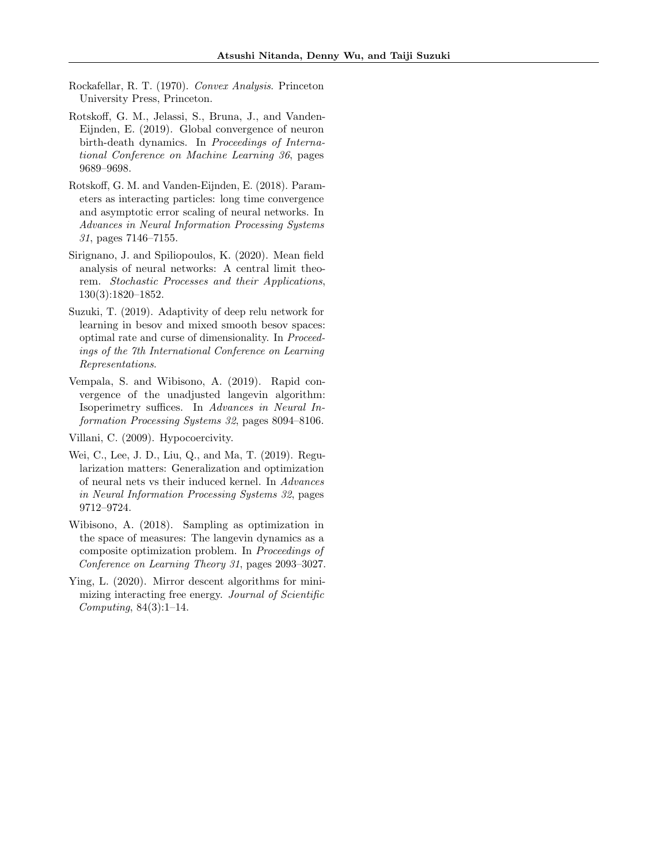- <span id="page-10-9"></span>Rockafellar, R. T. (1970). Convex Analysis. Princeton University Press, Princeton.
- <span id="page-10-5"></span>Rotskoff, G. M., Jelassi, S., Bruna, J., and Vanden-Eijnden, E. (2019). Global convergence of neuron birth-death dynamics. In Proceedings of International Conference on Machine Learning 36, pages 9689–9698.
- <span id="page-10-2"></span>Rotskoff, G. M. and Vanden-Eijnden, E. (2018). Parameters as interacting particles: long time convergence and asymptotic error scaling of neural networks. In Advances in Neural Information Processing Systems 31, pages 7146–7155.
- <span id="page-10-4"></span>Sirignano, J. and Spiliopoulos, K. (2020). Mean field analysis of neural networks: A central limit theorem. Stochastic Processes and their Applications, 130(3):1820–1852.
- <span id="page-10-1"></span>Suzuki, T. (2019). Adaptivity of deep relu network for learning in besov and mixed smooth besov spaces: optimal rate and curse of dimensionality. In Proceedings of the 7th International Conference on Learning Representations.
- <span id="page-10-0"></span>Vempala, S. and Wibisono, A. (2019). Rapid convergence of the unadjusted langevin algorithm: Isoperimetry suffices. In Advances in Neural Information Processing Systems 32, pages 8094–8106.
- <span id="page-10-7"></span>Villani, C. (2009). Hypocoercivity.
- <span id="page-10-6"></span>Wei, C., Lee, J. D., Liu, Q., and Ma, T. (2019). Regularization matters: Generalization and optimization of neural nets vs their induced kernel. In Advances in Neural Information Processing Systems 32, pages 9712–9724.
- <span id="page-10-3"></span>Wibisono, A. (2018). Sampling as optimization in the space of measures: The langevin dynamics as a composite optimization problem. In Proceedings of Conference on Learning Theory 31, pages 2093–3027.
- <span id="page-10-8"></span>Ying, L. (2020). Mirror descent algorithms for minimizing interacting free energy. Journal of Scientific Computing, 84(3):1–14.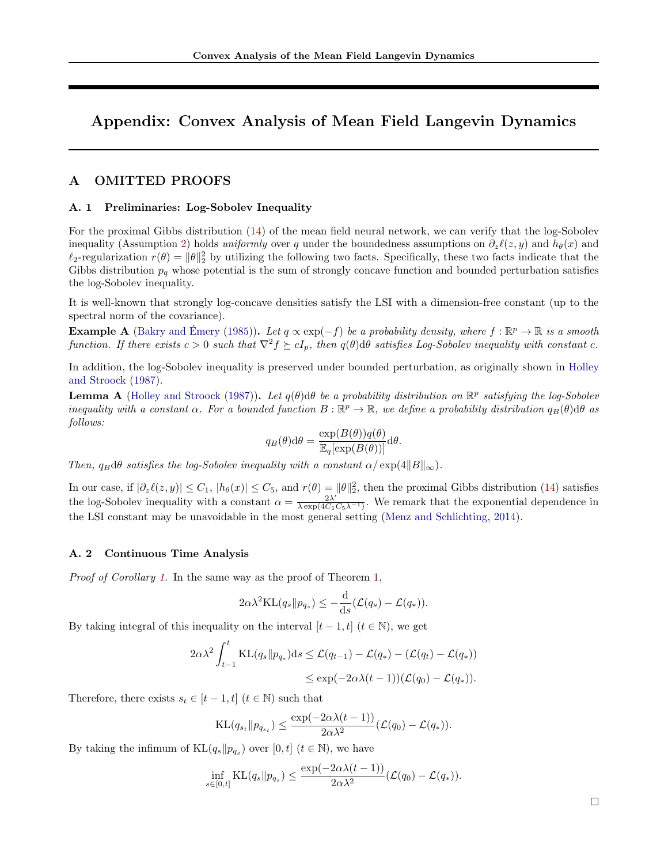# Appendix: Convex Analysis of Mean Field Langevin Dynamics

# A OMITTED PROOFS

#### A. 1 Preliminaries: Log-Sobolev Inequality

For the proximal Gibbs distribution [\(14\)](#page-3-8) of the mean field neural network, we can verify that the log-Sobolev inequality (Assumption [2\)](#page-2-2) holds uniformly over q under the boundedness assumptions on  $\partial_z\ell(z, y)$  and  $h_\theta(x)$  and  $\ell_2$ -regularization  $r(\theta) = ||\theta||_2^2$  by utilizing the following two facts. Specifically, these two facts indicate that the Gibbs distribution  $p_q$  whose potential is the sum of strongly concave function and bounded perturbation satisfies the log-Sobolev inequality.

It is well-known that strongly log-concave densities satisfy the LSI with a dimension-free constant (up to the spectral norm of the covariance).

**Example A** [\(Bakry and](#page-8-13) Émery [\(1985\)](#page-8-13)). Let  $q \propto \exp(-f)$  be a probability density, where  $f : \mathbb{R}^p \to \mathbb{R}$  is a smooth function. If there exists  $c > 0$  such that  $\nabla^2 f \succeq cI_p$ , then  $q(\theta)$ d $\theta$  satisfies Log-Sobolev inequality with constant c.

In addition, the log-Sobolev inequality is preserved under bounded perturbation, as originally shown in [Holley](#page-9-24) [and Stroock](#page-9-24) [\(1987\)](#page-9-24).

**Lemma A** [\(Holley and Stroock](#page-9-24) [\(1987\)](#page-9-24)). Let  $q(\theta)$ d $\theta$  be a probability distribution on  $\mathbb{R}^p$  satisfying the log-Sobolev inequality with a constant  $\alpha$ . For a bounded function  $B:\mathbb{R}^p\to\mathbb{R}$ , we define a probability distribution  $q_B(\theta)$ d $\theta$  as follows:

$$
q_B(\theta) d\theta = \frac{\exp(B(\theta))q(\theta)}{\mathbb{E}_q[\exp(B(\theta))]} d\theta.
$$

Then,  $q_B d\theta$  satisfies the log-Sobolev inequality with a constant  $\alpha / \exp(4||B||_{\infty})$ .

In our case, if  $|\partial_z \ell(z, y)| \leq C_1$ ,  $|h_{\theta}(x)| \leq C_5$ , and  $r(\theta) = ||\theta||_2^2$ , then the proximal Gibbs distribution [\(14\)](#page-3-8) satisfies the log-Sobolev inequality with a constant  $\alpha = \frac{2\lambda'}{\lambda \exp\left(dC_{\lambda}\right)}$  $\frac{2\lambda}{\lambda \exp(4C_1C_5\lambda^{-1})}$ . We remark that the exponential dependence in the LSI constant may be unavoidable in the most general setting [\(Menz and Schlichting,](#page-9-26) [2014\)](#page-9-26).

## A. 2 Continuous Time Analysis

Proof of Corollary [1.](#page-5-3) In the same way as the proof of Theorem [1,](#page-5-0)

$$
2\alpha\lambda^{2}\mathrm{KL}(q_s\|p_{q_s}) \leq -\frac{\mathrm{d}}{\mathrm{d}s}(\mathcal{L}(q_s) - \mathcal{L}(q_*)).
$$

By taking integral of this inequality on the interval  $[t - 1, t]$   $(t \in \mathbb{N})$ , we get

$$
2\alpha\lambda^2 \int_{t-1}^t \mathrm{KL}(q_s \| p_{q_s}) \mathrm{d}s \le \mathcal{L}(q_{t-1}) - \mathcal{L}(q_*) - (\mathcal{L}(q_t) - \mathcal{L}(q_*))
$$
  

$$
\le \exp(-2\alpha\lambda(t-1))(\mathcal{L}(q_0) - \mathcal{L}(q_*)).
$$

Therefore, there exists  $s_t \in [t-1, t]$   $(t \in \mathbb{N})$  such that

$$
\mathrm{KL}(q_{s_t} \| p_{q_{s_t}}) \le \frac{\exp(-2\alpha\lambda(t-1))}{2\alpha\lambda^2} (\mathcal{L}(q_0) - \mathcal{L}(q_*)).
$$

By taking the infimum of  $KL(q_s||p_{q_s})$  over  $[0, t]$   $(t \in \mathbb{N})$ , we have

$$
\inf_{s\in[0,t]} \mathrm{KL}(q_s\|p_{q_s}) \leq \frac{\exp(-2\alpha\lambda(t-1))}{2\alpha\lambda^2}(\mathcal{L}(q_0)-\mathcal{L}(q_*)).
$$

 $\Box$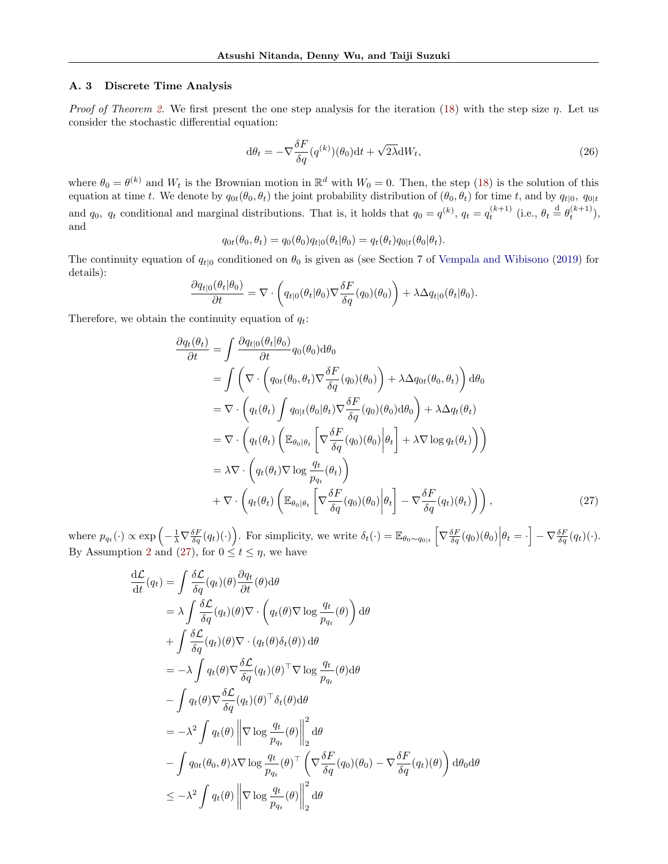### A. 3 Discrete Time Analysis

Proof of Theorem [2.](#page-5-2) We first present the one step analysis for the iteration [\(18\)](#page-5-1) with the step size  $\eta$ . Let us consider the stochastic differential equation:

<span id="page-12-1"></span>
$$
d\theta_t = -\nabla \frac{\delta F}{\delta q} (q^{(k)}) (\theta_0) dt + \sqrt{2\lambda} dW_t,
$$
\n(26)

where  $\theta_0 = \theta^{(k)}$  and  $W_t$  is the Brownian motion in  $\mathbb{R}^d$  with  $W_0 = 0$ . Then, the step [\(18\)](#page-5-1) is the solution of this equation at time t. We denote by  $q_{0t}(\theta_0, \theta_t)$  the joint probability distribution of  $(\theta_0, \theta_t)$  for time t, and by  $q_{t|0}, q_{0|t}$ and  $q_0$ ,  $q_t$  conditional and marginal distributions. That is, it holds that  $q_0 = q^{(k)}$ ,  $q_t = q_t^{(k+1)}$  (i.e.,  $\theta_t \stackrel{d}{=} \theta_t^{(k+1)}$ ), and

$$
q_{0t}(\theta_0, \theta_t) = q_0(\theta_0)q_{t|0}(\theta_t|\theta_0) = q_t(\theta_t)q_{0|t}(\theta_0|\theta_t).
$$

The continuity equation of  $q_{t|0}$  conditioned on  $\theta_0$  is given as (see Section 7 of [Vempala and Wibisono](#page-10-0) [\(2019\)](#page-10-0) for details):

$$
\frac{\partial q_{t|0}(\theta_t|\theta_0)}{\partial t} = \nabla \cdot \left( q_{t|0}(\theta_t|\theta_0) \nabla \frac{\delta F}{\delta q}(q_0)(\theta_0) \right) + \lambda \Delta q_{t|0}(\theta_t|\theta_0).
$$

Therefore, we obtain the continuity equation of  $q_t$ :

<span id="page-12-0"></span>
$$
\frac{\partial q_t(\theta_t)}{\partial t} = \int \frac{\partial q_{t|0}(\theta_t|\theta_0)}{\partial t} q_0(\theta_0) d\theta_0
$$
\n
$$
= \int \left( \nabla \cdot \left( q_{0t}(\theta_0, \theta_t) \nabla \frac{\delta F}{\delta q} (q_0)(\theta_0) \right) + \lambda \Delta q_{0t}(\theta_0, \theta_t) \right) d\theta_0
$$
\n
$$
= \nabla \cdot \left( q_t(\theta_t) \int q_{0|t}(\theta_0|\theta_t) \nabla \frac{\delta F}{\delta q} (q_0)(\theta_0) d\theta_0 \right) + \lambda \Delta q_t(\theta_t)
$$
\n
$$
= \nabla \cdot \left( q_t(\theta_t) \left( \mathbb{E}_{\theta_0|\theta_t} \left[ \nabla \frac{\delta F}{\delta q} (q_0)(\theta_0) \Big| \theta_t \right] + \lambda \nabla \log q_t(\theta_t) \right) \right)
$$
\n
$$
= \lambda \nabla \cdot \left( q_t(\theta_t) \nabla \log \frac{q_t}{p_{q_t}} (\theta_t) \right)
$$
\n
$$
+ \nabla \cdot \left( q_t(\theta_t) \left( \mathbb{E}_{\theta_0|\theta_t} \left[ \nabla \frac{\delta F}{\delta q} (q_0)(\theta_0) \Big| \theta_t \right] - \nabla \frac{\delta F}{\delta q} (q_t)(\theta_t) \right) \right), \tag{27}
$$

where  $p_{q_t}(\cdot) \propto \exp\left(-\frac{1}{\lambda} \nabla \frac{\delta F}{\delta q}(q_t)(\cdot)\right)$ . For simplicity, we write  $\delta_t(\cdot) = \mathbb{E}_{\theta_0 \sim q_{0|t}}\left[\nabla \frac{\delta F}{\delta q}(q_0)(\theta_0)\middle|\theta_t = \cdot\right] - \nabla \frac{\delta F}{\delta q}(q_t)(\cdot)$ . By Assumption [2](#page-2-2) and [\(27\)](#page-12-0), for  $0 \le t \le \eta$ , we have

$$
\frac{d\mathcal{L}}{dt}(q_t) = \int \frac{\delta \mathcal{L}}{\delta q}(q_t)(\theta) \frac{\partial q_t}{\partial t}(\theta) d\theta \n= \lambda \int \frac{\delta \mathcal{L}}{\delta q}(q_t)(\theta) \nabla \cdot \left(q_t(\theta) \nabla \log \frac{q_t}{p_{q_t}}(\theta)\right) d\theta \n+ \int \frac{\delta \mathcal{L}}{\delta q}(q_t)(\theta) \nabla \cdot (q_t(\theta) \delta_t(\theta)) d\theta \n= -\lambda \int q_t(\theta) \nabla \frac{\delta \mathcal{L}}{\delta q}(q_t)(\theta)^\top \nabla \log \frac{q_t}{p_{q_t}}(\theta) d\theta \n- \int q_t(\theta) \nabla \frac{\delta \mathcal{L}}{\delta q}(q_t)(\theta)^\top \delta_t(\theta) d\theta \n= -\lambda^2 \int q_t(\theta) \left\|\nabla \log \frac{q_t}{p_{q_t}}(\theta)\right\|_2^2 d\theta \n- \int q_{0t}(\theta_0, \theta) \lambda \nabla \log \frac{q_t}{p_{q_t}}(\theta)^\top \left(\nabla \frac{\delta F}{\delta q}(q_0)(\theta_0) - \nabla \frac{\delta F}{\delta q}(q_t)(\theta)\right) d\theta_0 d\theta \n\leq -\lambda^2 \int q_t(\theta) \left\|\nabla \log \frac{q_t}{p_{q_t}}(\theta)\right\|_2^2 d\theta
$$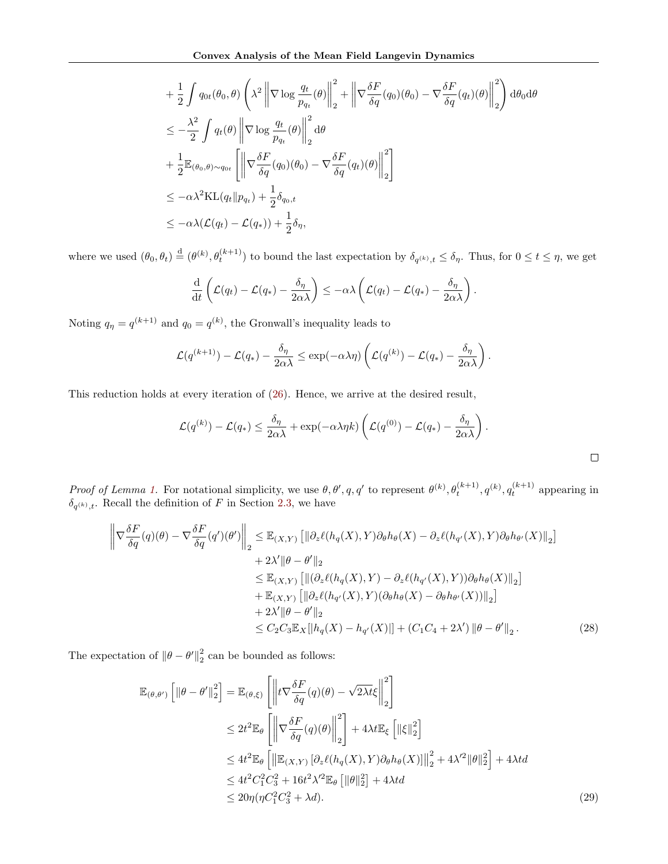$$
\begin{split}\n&+ \frac{1}{2} \int q_{0t}(\theta_{0}, \theta) \left( \lambda^{2} \left\| \nabla \log \frac{q_{t}}{p_{q_{t}}}(\theta) \right\|_{2}^{2} + \left\| \nabla \frac{\delta F}{\delta q}(q_{0})(\theta_{0}) - \nabla \frac{\delta F}{\delta q}(q_{t})(\theta) \right\|_{2}^{2} \right) d\theta_{0} d\theta \\
&\leq - \frac{\lambda^{2}}{2} \int q_{t}(\theta) \left\| \nabla \log \frac{q_{t}}{p_{q_{t}}}(\theta) \right\|_{2}^{2} d\theta \\
&+ \frac{1}{2} \mathbb{E}_{(\theta_{0}, \theta) \sim q_{0t}} \left[ \left\| \nabla \frac{\delta F}{\delta q}(q_{0})(\theta_{0}) - \nabla \frac{\delta F}{\delta q}(q_{t})(\theta) \right\|_{2}^{2} \right] \\
&\leq -\alpha \lambda^{2} \text{KL}(q_{t} \| p_{q_{t}}) + \frac{1}{2} \delta_{q_{0}, t} \\
&\leq -\alpha \lambda (\mathcal{L}(q_{t}) - \mathcal{L}(q_{*})) + \frac{1}{2} \delta_{\eta},\n\end{split}
$$

where we used  $(\theta_0, \theta_t) \stackrel{d}{=} (\theta^{(k)}, \theta_t^{(k+1)})$  to bound the last expectation by  $\delta_{q^{(k)},t} \leq \delta_{\eta}$ . Thus, for  $0 \leq t \leq \eta$ , we get

$$
\frac{\mathrm{d}}{\mathrm{d}t}\left(\mathcal{L}(q_t)-\mathcal{L}(q_*)-\frac{\delta_\eta}{2\alpha\lambda}\right)\leq -\alpha\lambda\left(\mathcal{L}(q_t)-\mathcal{L}(q_*)-\frac{\delta_\eta}{2\alpha\lambda}\right).
$$

Noting  $q_{\eta} = q^{(k+1)}$  and  $q_0 = q^{(k)}$ , the Gronwall's inequality leads to

$$
\mathcal{L}(q^{(k+1)}) - \mathcal{L}(q_*) - \frac{\delta_{\eta}}{2\alpha\lambda} \le \exp(-\alpha\lambda\eta) \left( \mathcal{L}(q^{(k)}) - \mathcal{L}(q_*) - \frac{\delta_{\eta}}{2\alpha\lambda} \right).
$$

This reduction holds at every iteration of [\(26\)](#page-12-1). Hence, we arrive at the desired result,

$$
\mathcal{L}(q^{(k)}) - \mathcal{L}(q_*) \leq \frac{\delta_{\eta}}{2\alpha\lambda} + \exp(-\alpha\lambda\eta k) \left( \mathcal{L}(q^{(0)}) - \mathcal{L}(q_*) - \frac{\delta_{\eta}}{2\alpha\lambda} \right).
$$

Proof of Lemma [1.](#page-6-3) For notational simplicity, we use  $\theta, \theta', q, q'$  to represent  $\theta^{(k)}, \theta_t^{(k+1)}, q^{(k)}, q_t^{(k+1)}$  appearing in  $\delta_{q^{(k)},t}$ . Recall the definition of F in Section [2.3,](#page-3-7) we have

$$
\left\| \nabla \frac{\delta F}{\delta q}(q)(\theta) - \nabla \frac{\delta F}{\delta q}(q')(\theta') \right\|_2 \leq \mathbb{E}_{(X,Y)} \left[ \|\partial_z \ell(h_q(X), Y) \partial_\theta h_\theta(X) - \partial_z \ell(h_{q'}(X), Y) \partial_\theta h_{\theta'}(X) \right\|_2 \right] + 2\lambda' \|\theta - \theta'\|_2 \leq \mathbb{E}_{(X,Y)} \left[ \|(\partial_z \ell(h_q(X), Y) - \partial_z \ell(h_{q'}(X), Y)) \partial_\theta h_\theta(X) \right\|_2 \right] + \mathbb{E}_{(X,Y)} \left[ \|\partial_z \ell(h_{q'}(X), Y) (\partial_\theta h_\theta(X) - \partial_\theta h_{\theta'}(X)) \right\|_2 \right] + 2\lambda' \|\theta - \theta' \|_2 \leq C_2 C_3 \mathbb{E}_X \left[ |h_q(X) - h_{q'}(X)| \right] + (C_1 C_4 + 2\lambda') \|\theta - \theta' \|_2.
$$
 (28)

The expectation of  $\|\theta - \theta'\|_2^2$  $\frac{2}{2}$  can be bounded as follows:

<span id="page-13-1"></span><span id="page-13-0"></span>
$$
\mathbb{E}_{(\theta,\theta')} \left[ \|\theta - \theta'\|_2^2 \right] = \mathbb{E}_{(\theta,\xi)} \left[ \left\| t \nabla \frac{\delta F}{\delta q}(q)(\theta) - \sqrt{2\lambda t} \xi \right\|_2^2 \right]
$$
\n
$$
\leq 2t^2 \mathbb{E}_{\theta} \left[ \left\| \nabla \frac{\delta F}{\delta q}(q)(\theta) \right\|_2^2 \right] + 4\lambda t \mathbb{E}_{\xi} \left[ \|\xi\|_2^2 \right]
$$
\n
$$
\leq 4t^2 \mathbb{E}_{\theta} \left[ \left\| \mathbb{E}_{(X,Y)} \left[ \partial_z \ell(h_q(X), Y) \partial_\theta h_\theta(X) \right] \right\|_2^2 + 4\lambda'^2 \|\theta\|_2^2 \right] + 4\lambda t d
$$
\n
$$
\leq 4t^2 C_1^2 C_3^2 + 16t^2 \lambda'^2 \mathbb{E}_{\theta} \left[ \|\theta\|_2^2 \right] + 4\lambda t d
$$
\n
$$
\leq 20\eta (\eta C_1^2 C_3^2 + \lambda d). \tag{29}
$$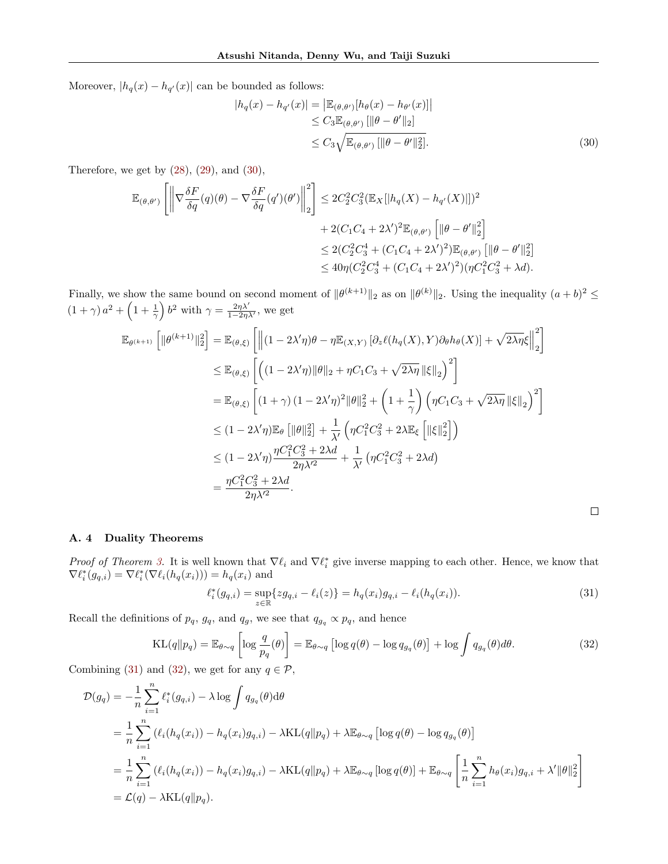Moreover,  $|h_q(x) - h_{q'}(x)|$  can be bounded as follows:

<span id="page-14-0"></span>
$$
|h_q(x) - h_{q'}(x)| = \left| \mathbb{E}_{(\theta, \theta')} [h_\theta(x) - h_{\theta'}(x)] \right|
$$
  
\n
$$
\leq C_3 \mathbb{E}_{(\theta, \theta')} [ \|\theta - \theta'\|_2 ]
$$
  
\n
$$
\leq C_3 \sqrt{\mathbb{E}_{(\theta, \theta')} [ \|\theta - \theta'\|_2^2 ]}.
$$
\n(30)

Therefore, we get by  $(28)$ ,  $(29)$ , and  $(30)$ ,

$$
\mathbb{E}_{(\theta,\theta')} \left[ \left\| \nabla \frac{\delta F}{\delta q}(q)(\theta) - \nabla \frac{\delta F}{\delta q}(q')(\theta') \right\|_2^2 \right] \leq 2C_2^2 C_3^2 (\mathbb{E}_X [\left| h_q(X) - h_{q'}(X) \right|])^2 \n+ 2(C_1 C_4 + 2\lambda')^2 \mathbb{E}_{(\theta,\theta')} \left[ \left\| \theta - \theta' \right\|_2^2 \right] \n\leq 2(C_2^2 C_3^4 + (C_1 C_4 + 2\lambda')^2) \mathbb{E}_{(\theta,\theta')} \left[ \left\| \theta - \theta' \right\|_2^2 \right] \n\leq 40 \eta (C_2^2 C_3^4 + (C_1 C_4 + 2\lambda')^2) (\eta C_1^2 C_3^2 + \lambda d).
$$

Finally, we show the same bound on second moment of  $\|\theta^{(k+1)}\|_2$  as on  $\|\theta^{(k)}\|_2$ . Using the inequality  $(a+b)^2 \le$  $(1 + \gamma) a^2 + \left(1 + \frac{1}{\gamma}\right) b^2$  with  $\gamma = \frac{2\eta \lambda'}{1 - 2\eta \lambda'}$ , we get

$$
\mathbb{E}_{\theta^{(k+1)}}\left[\|\theta^{(k+1)}\|_{2}^{2}\right] = \mathbb{E}_{(\theta,\xi)}\left[\left\|\left(1-2\lambda'\eta\right)\theta - \eta\mathbb{E}_{(X,Y)}\left[\partial_{z}\ell(h_{q}(X),Y)\partial_{\theta}h_{\theta}(X)\right] + \sqrt{2\lambda\eta}\xi\right\|_{2}^{2}\right]
$$
\n
$$
\leq \mathbb{E}_{(\theta,\xi)}\left[\left((1-2\lambda'\eta)\|\theta\|_{2} + \eta C_{1}C_{3} + \sqrt{2\lambda\eta}\|\xi\|_{2}\right)^{2}\right]
$$
\n
$$
= \mathbb{E}_{(\theta,\xi)}\left[\left(1+\gamma\right)\left(1-2\lambda'\eta\right)^{2}\|\theta\|_{2}^{2} + \left(1+\frac{1}{\gamma}\right)\left(\eta C_{1}C_{3} + \sqrt{2\lambda\eta}\|\xi\|_{2}\right)^{2}\right]
$$
\n
$$
\leq (1-2\lambda'\eta)\mathbb{E}_{\theta}\left[\|\theta\|_{2}^{2}\right] + \frac{1}{\lambda'}\left(\eta C_{1}^{2}C_{3}^{2} + 2\lambda\mathbb{E}_{\xi}\left[\|\xi\|_{2}^{2}\right]\right)
$$
\n
$$
\leq (1-2\lambda'\eta)\frac{\eta C_{1}^{2}C_{3}^{2} + 2\lambda d}{2\eta\lambda'^{2}} + \frac{1}{\lambda'}\left(\eta C_{1}^{2}C_{3}^{2} + 2\lambda d\right)
$$
\n
$$
= \frac{\eta C_{1}^{2}C_{3}^{2} + 2\lambda d}{2\eta\lambda'^{2}}.
$$

## A. 4 Duality Theorems

*Proof of Theorem [3.](#page-7-2)* It is well known that  $\nabla \ell_i$  and  $\nabla \ell_i^*$  give inverse mapping to each other. Hence, we know that  $\nabla \ell_i^*(g_{q,i}) = \nabla \ell_i^*(\nabla \ell_i(h_q(x_i))) = h_q(x_i)$  and

$$
\ell_i^*(g_{q,i}) = \sup_{z \in \mathbb{R}} \{z g_{q,i} - \ell_i(z)\} = h_q(x_i) g_{q,i} - \ell_i(h_q(x_i)).
$$
\n(31)

<span id="page-14-2"></span><span id="page-14-1"></span> $\Box$ 

Recall the definitions of  $p_q$ ,  $g_q$ , and  $q_g$ , we see that  $q_{g_q} \propto p_q$ , and hence

$$
KL(q||p_q) = \mathbb{E}_{\theta \sim q} \left[ \log \frac{q}{p_q}(\theta) \right] = \mathbb{E}_{\theta \sim q} \left[ \log q(\theta) - \log q_{g_q}(\theta) \right] + \log \int q_{g_q}(\theta) d\theta.
$$
 (32)

Combining [\(31\)](#page-14-1) and [\(32\)](#page-14-2), we get for any  $q \in \mathcal{P}$ ,

$$
\mathcal{D}(g_q) = -\frac{1}{n} \sum_{i=1}^n \ell_i^*(g_{q,i}) - \lambda \log \int q_{g_q}(\theta) d\theta
$$
  
= 
$$
\frac{1}{n} \sum_{i=1}^n (\ell_i(h_q(x_i)) - h_q(x_i)g_{q,i}) - \lambda KL(q||p_q) + \lambda \mathbb{E}_{\theta \sim q} [\log q(\theta) - \log q_{g_q}(\theta)]
$$
  
= 
$$
\frac{1}{n} \sum_{i=1}^n (\ell_i(h_q(x_i)) - h_q(x_i)g_{q,i}) - \lambda KL(q||p_q) + \lambda \mathbb{E}_{\theta \sim q} [\log q(\theta)] + \mathbb{E}_{\theta \sim q} \left[ \frac{1}{n} \sum_{i=1}^n h_\theta(x_i)g_{q,i} + \lambda' ||\theta||_2^2 \right]
$$
  
= 
$$
\mathcal{L}(q) - \lambda KL(q||p_q).
$$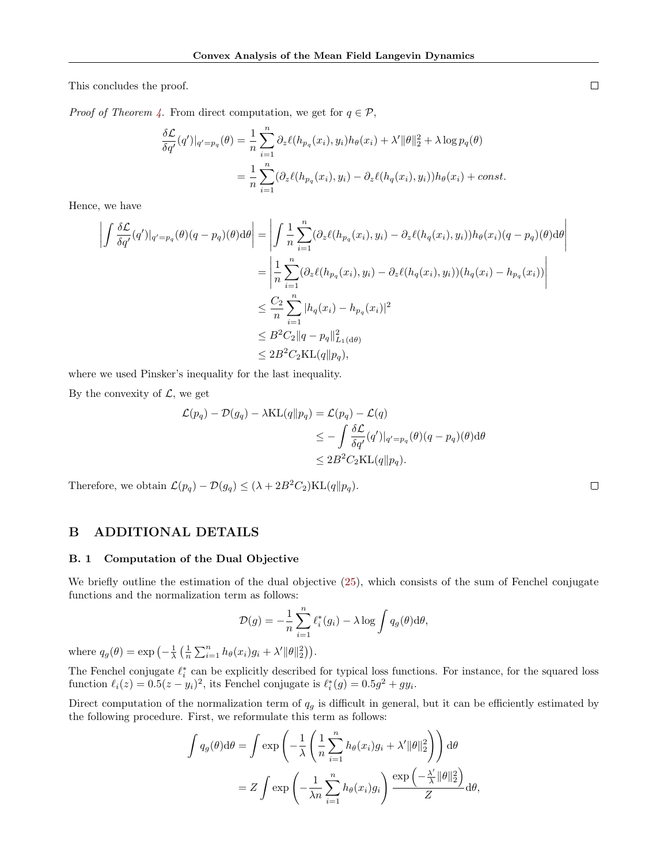This concludes the proof.

*Proof of Theorem [4.](#page-7-3)* From direct computation, we get for  $q \in \mathcal{P}$ ,

$$
\frac{\delta \mathcal{L}}{\delta q'}(q')|_{q'=p_q}(\theta) = \frac{1}{n} \sum_{i=1}^n \partial_z \ell(h_{p_q}(x_i), y_i) h_{\theta}(x_i) + \lambda' ||\theta||_2^2 + \lambda \log p_q(\theta)
$$

$$
= \frac{1}{n} \sum_{i=1}^n (\partial_z \ell(h_{p_q}(x_i), y_i) - \partial_z \ell(h_q(x_i), y_i)) h_{\theta}(x_i) + const.
$$

Hence, we have

$$
\left| \int \frac{\delta \mathcal{L}}{\delta q'}(q')|_{q'=p_q}(\theta)(q-p_q)(\theta) d\theta \right| = \left| \int \frac{1}{n} \sum_{i=1}^n (\partial_z \ell(h_{p_q}(x_i), y_i) - \partial_z \ell(h_q(x_i), y_i)) h_{\theta}(x_i)(q-p_q)(\theta) d\theta \right|
$$
  
\n
$$
= \left| \frac{1}{n} \sum_{i=1}^n (\partial_z \ell(h_{p_q}(x_i), y_i) - \partial_z \ell(h_q(x_i), y_i)) (h_q(x_i) - h_{p_q}(x_i)) \right|
$$
  
\n
$$
\leq \frac{C_2}{n} \sum_{i=1}^n |h_q(x_i) - h_{p_q}(x_i)|^2
$$
  
\n
$$
\leq B^2 C_2 ||q - p_q||_{L_1(d\theta)}^2
$$
  
\n
$$
\leq 2B^2 C_2 \text{KL}(q||p_q),
$$

where we used Pinsker's inequality for the last inequality.

By the convexity of  $\mathcal{L}$ , we get

$$
\mathcal{L}(p_q) - \mathcal{D}(g_q) - \lambda \text{KL}(q||p_q) = \mathcal{L}(p_q) - \mathcal{L}(q)
$$
  
\n
$$
\leq -\int \frac{\delta \mathcal{L}}{\delta q'}(q')|_{q'=p_q}(\theta)(q-p_q)(\theta) d\theta
$$
  
\n
$$
\leq 2B^2 C_2 \text{KL}(q||p_q).
$$

Therefore, we obtain  $\mathcal{L}(p_q) - \mathcal{D}(g_q) \leq (\lambda + 2B^2C_2)KL(q||p_q)$ .

# B ADDITIONAL DETAILS

## B. 1 Computation of the Dual Objective

We briefly outline the estimation of the dual objective [\(25\)](#page-7-1), which consists of the sum of Fenchel conjugate functions and the normalization term as follows:

$$
\mathcal{D}(g) = -\frac{1}{n} \sum_{i=1}^{n} \ell_i^*(g_i) - \lambda \log \int q_g(\theta) d\theta,
$$

where  $q_g(\theta) = \exp\left(-\frac{1}{\lambda} \left(\frac{1}{n} \sum_{i=1}^n h_\theta(x_i) g_i + \lambda' ||\theta||_2^2\right)\right)$ .

The Fenchel conjugate  $\ell_i^*$  can be explicitly described for typical loss functions. For instance, for the squared loss function  $\ell_i(z) = 0.5(z - y_i)^2$ , its Fenchel conjugate is  $\ell_i^*(g) = 0.5g^2 + gy_i$ .

Direct computation of the normalization term of  $q<sub>q</sub>$  is difficult in general, but it can be efficiently estimated by the following procedure. First, we reformulate this term as follows:

$$
\int q_g(\theta) d\theta = \int \exp\left(-\frac{1}{\lambda} \left(\frac{1}{n} \sum_{i=1}^n h_\theta(x_i) g_i + \lambda' ||\theta||_2^2\right)\right) d\theta
$$

$$
= Z \int \exp\left(-\frac{1}{\lambda n} \sum_{i=1}^n h_\theta(x_i) g_i\right) \frac{\exp\left(-\frac{\lambda'}{\lambda} ||\theta||_2^2\right)}{Z} d\theta,
$$

 $\Box$